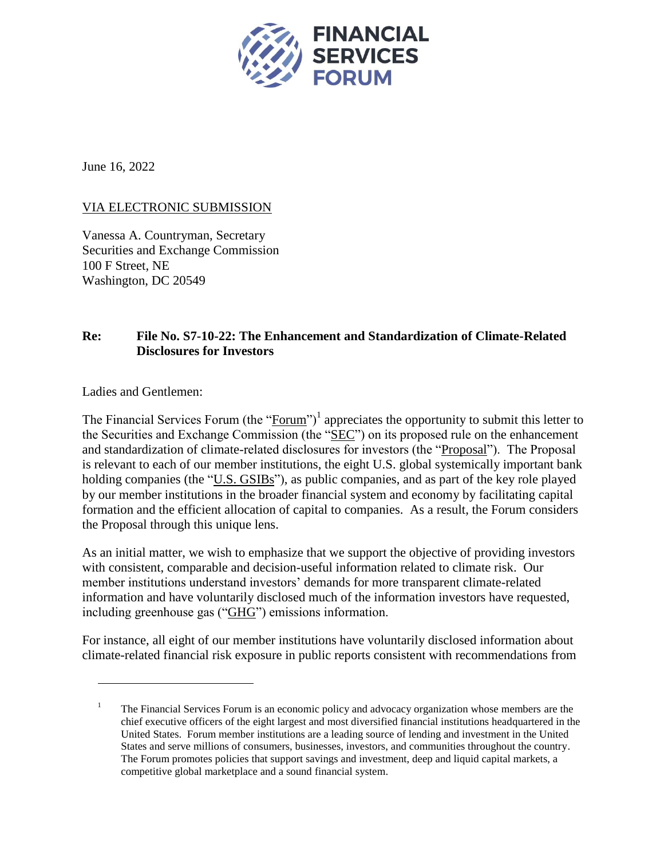

June 16, 2022

# VIA ELECTRONIC SUBMISSION

Vanessa A. Countryman, Secretary Securities and Exchange Commission 100 F Street, NE Washington, DC 20549

# **Re: File No. S7-10-22: The Enhancement and Standardization of Climate-Related Disclosures for Investors**

Ladies and Gentlemen:

 $\overline{a}$ 

The Financial Services Forum (the " $\frac{1}{2}$  repreciates the opportunity to submit this letter to the Securities and Exchange Commission (the "SEC") on its proposed rule on the enhancement and standardization of climate-related disclosures for investors (the "Proposal"). The Proposal is relevant to each of our member institutions, the eight U.S. global systemically important bank holding companies (the "U.S. GSIBs"), as public companies, and as part of the key role played by our member institutions in the broader financial system and economy by facilitating capital formation and the efficient allocation of capital to companies. As a result, the Forum considers the Proposal through this unique lens.

As an initial matter, we wish to emphasize that we support the objective of providing investors with consistent, comparable and decision-useful information related to climate risk. Our member institutions understand investors' demands for more transparent climate-related information and have voluntarily disclosed much of the information investors have requested, including greenhouse gas ("GHG") emissions information.

For instance, all eight of our member institutions have voluntarily disclosed information about climate-related financial risk exposure in public reports consistent with recommendations from

<sup>&</sup>lt;sup>1</sup> The Financial Services Forum is an economic policy and advocacy organization whose members are the chief executive officers of the eight largest and most diversified financial institutions headquartered in the United States. Forum member institutions are a leading source of lending and investment in the United States and serve millions of consumers, businesses, investors, and communities throughout the country. The Forum promotes policies that support savings and investment, deep and liquid capital markets, a competitive global marketplace and a sound financial system.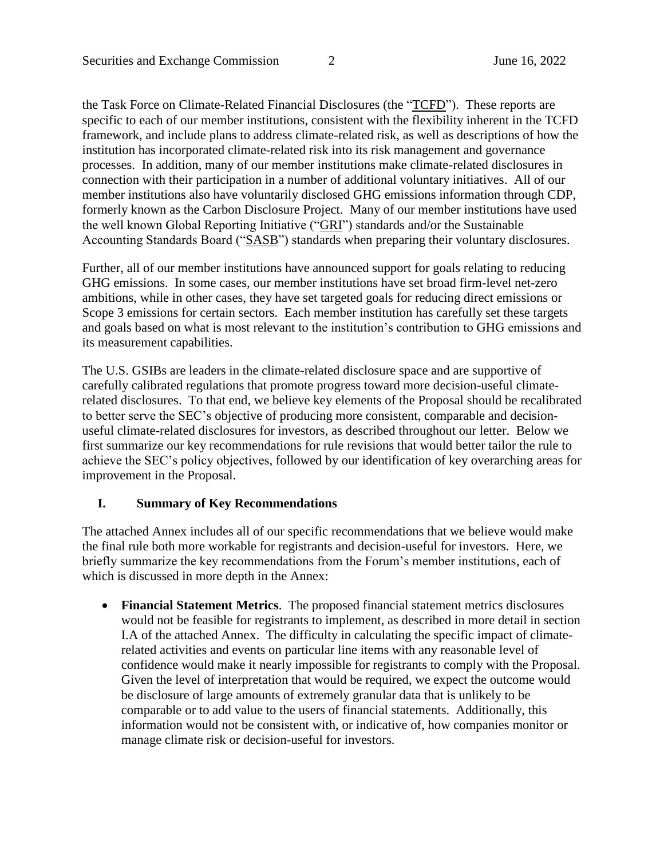the Task Force on Climate-Related Financial Disclosures (the "TCFD"). These reports are specific to each of our member institutions, consistent with the flexibility inherent in the TCFD framework, and include plans to address climate-related risk, as well as descriptions of how the institution has incorporated climate-related risk into its risk management and governance processes. In addition, many of our member institutions make climate-related disclosures in connection with their participation in a number of additional voluntary initiatives. All of our member institutions also have voluntarily disclosed GHG emissions information through CDP, formerly known as the Carbon Disclosure Project. Many of our member institutions have used the well known Global Reporting Initiative ("GRI") standards and/or the Sustainable Accounting Standards Board ("SASB") standards when preparing their voluntary disclosures.

Further, all of our member institutions have announced support for goals relating to reducing GHG emissions. In some cases, our member institutions have set broad firm-level net-zero ambitions, while in other cases, they have set targeted goals for reducing direct emissions or Scope 3 emissions for certain sectors. Each member institution has carefully set these targets and goals based on what is most relevant to the institution's contribution to GHG emissions and its measurement capabilities.

The U.S. GSIBs are leaders in the climate-related disclosure space and are supportive of carefully calibrated regulations that promote progress toward more decision-useful climaterelated disclosures. To that end, we believe key elements of the Proposal should be recalibrated to better serve the SEC's objective of producing more consistent, comparable and decisionuseful climate-related disclosures for investors, as described throughout our letter. Below we first summarize our key recommendations for rule revisions that would better tailor the rule to achieve the SEC's policy objectives, followed by our identification of key overarching areas for improvement in the Proposal.

#### **I. Summary of Key Recommendations**

The attached Annex includes all of our specific recommendations that we believe would make the final rule both more workable for registrants and decision-useful for investors. Here, we briefly summarize the key recommendations from the Forum's member institutions, each of which is discussed in more depth in the Annex:

 **Financial Statement Metrics**. The proposed financial statement metrics disclosures would not be feasible for registrants to implement, as described in more detail in section I.A of the attached Annex. The difficulty in calculating the specific impact of climaterelated activities and events on particular line items with any reasonable level of confidence would make it nearly impossible for registrants to comply with the Proposal. Given the level of interpretation that would be required, we expect the outcome would be disclosure of large amounts of extremely granular data that is unlikely to be comparable or to add value to the users of financial statements. Additionally, this information would not be consistent with, or indicative of, how companies monitor or manage climate risk or decision-useful for investors.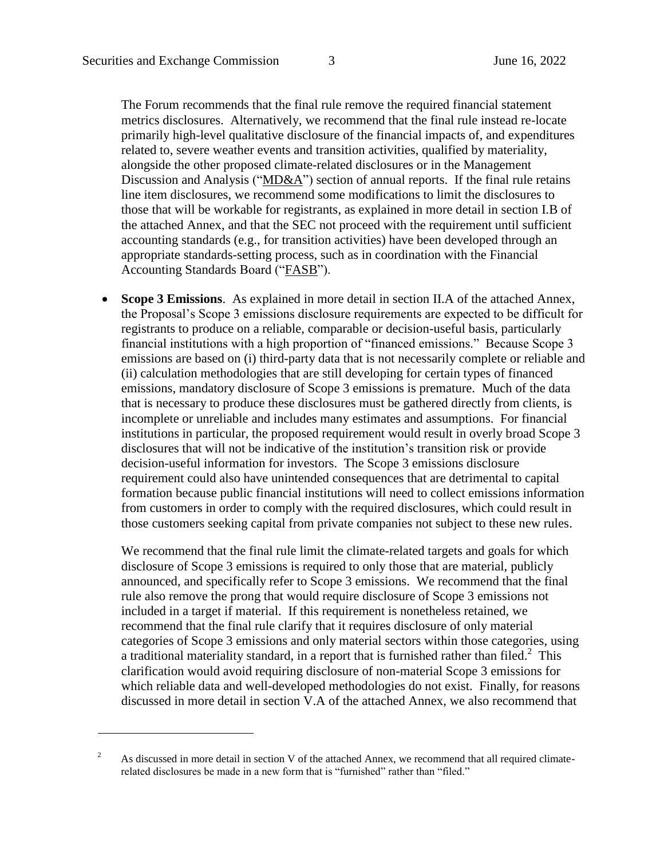The Forum recommends that the final rule remove the required financial statement metrics disclosures. Alternatively, we recommend that the final rule instead re-locate primarily high-level qualitative disclosure of the financial impacts of, and expenditures related to, severe weather events and transition activities, qualified by materiality, alongside the other proposed climate-related disclosures or in the Management Discussion and Analysis ("MD&A") section of annual reports. If the final rule retains line item disclosures, we recommend some modifications to limit the disclosures to those that will be workable for registrants, as explained in more detail in section I.B of the attached Annex, and that the SEC not proceed with the requirement until sufficient accounting standards (e.g., for transition activities) have been developed through an appropriate standards-setting process, such as in coordination with the Financial Accounting Standards Board ("FASB").

 **Scope 3 Emissions**. As explained in more detail in section [II.A](#page-16-0) of the attached Annex, the Proposal's Scope 3 emissions disclosure requirements are expected to be difficult for registrants to produce on a reliable, comparable or decision-useful basis, particularly financial institutions with a high proportion of "financed emissions." Because Scope 3 emissions are based on (i) third-party data that is not necessarily complete or reliable and (ii) calculation methodologies that are still developing for certain types of financed emissions, mandatory disclosure of Scope 3 emissions is premature. Much of the data that is necessary to produce these disclosures must be gathered directly from clients, is incomplete or unreliable and includes many estimates and assumptions. For financial institutions in particular, the proposed requirement would result in overly broad Scope 3 disclosures that will not be indicative of the institution's transition risk or provide decision-useful information for investors.The Scope 3 emissions disclosure requirement could also have unintended consequences that are detrimental to capital formation because public financial institutions will need to collect emissions information from customers in order to comply with the required disclosures, which could result in those customers seeking capital from private companies not subject to these new rules.

We recommend that the final rule limit the climate-related targets and goals for which disclosure of Scope 3 emissions is required to only those that are material, publicly announced, and specifically refer to Scope 3 emissions. We recommend that the final rule also remove the prong that would require disclosure of Scope 3 emissions not included in a target if material. If this requirement is nonetheless retained, we recommend that the final rule clarify that it requires disclosure of only material categories of Scope 3 emissions and only material sectors within those categories, using a traditional materiality standard, in a report that is furnished rather than filed.<sup>2</sup> This clarification would avoid requiring disclosure of non-material Scope 3 emissions for which reliable data and well-developed methodologies do not exist. Finally, for reasons discussed in more detail in section V.A of the attached Annex, we also recommend that

<sup>&</sup>lt;sup>2</sup> As discussed in more detail in section [V](#page-25-0) of the attached Annex, we recommend that all required climaterelated disclosures be made in a new form that is "furnished" rather than "filed."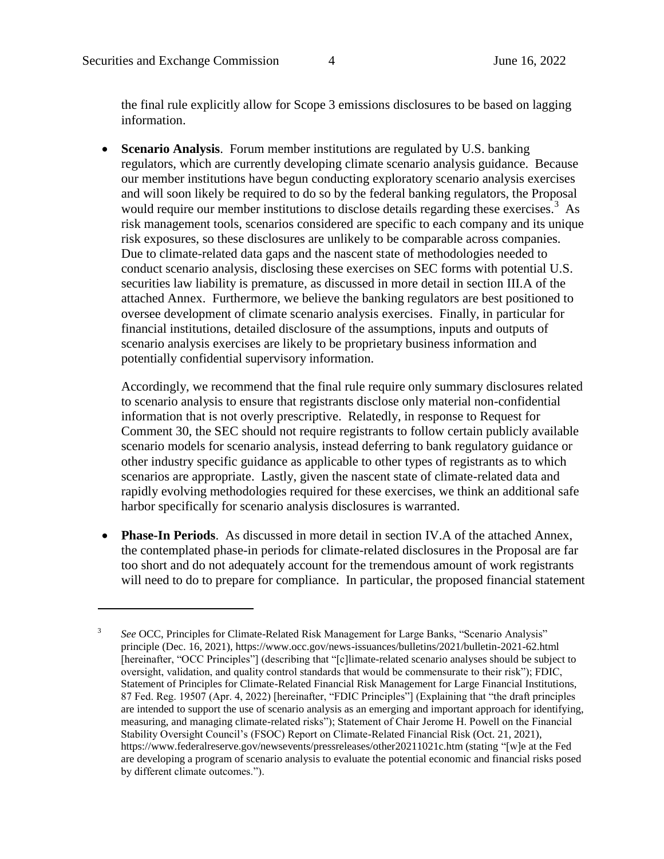<span id="page-3-0"></span>the final rule explicitly allow for Scope 3 emissions disclosures to be based on lagging information.

 **Scenario Analysis**. Forum member institutions are regulated by U.S. banking regulators, which are currently developing climate scenario analysis guidance. Because our member institutions have begun conducting exploratory scenario analysis exercises and will soon likely be required to do so by the federal banking regulators, the Proposal would require our member institutions to disclose details regarding these exercises.<sup>3</sup> As risk management tools, scenarios considered are specific to each company and its unique risk exposures, so these disclosures are unlikely to be comparable across companies. Due to climate-related data gaps and the nascent state of methodologies needed to conduct scenario analysis, disclosing these exercises on SEC forms with potential U.S. securities law liability is premature, as discussed in more detail in section III.A of the attached Annex. Furthermore, we believe the banking regulators are best positioned to oversee development of climate scenario analysis exercises. Finally, in particular for financial institutions, detailed disclosure of the assumptions, inputs and outputs of scenario analysis exercises are likely to be proprietary business information and potentially confidential supervisory information.

Accordingly, we recommend that the final rule require only summary disclosures related to scenario analysis to ensure that registrants disclose only material non-confidential information that is not overly prescriptive. Relatedly, in response to Request for Comment 30, the SEC should not require registrants to follow certain publicly available scenario models for scenario analysis, instead deferring to bank regulatory guidance or other industry specific guidance as applicable to other types of registrants as to which scenarios are appropriate. Lastly, given the nascent state of climate-related data and rapidly evolving methodologies required for these exercises, we think an additional safe harbor specifically for scenario analysis disclosures is warranted.

 **Phase-In Periods**. As discussed in more detail in section IV.A of the attached Annex, the contemplated phase-in periods for climate-related disclosures in the Proposal are far too short and do not adequately account for the tremendous amount of work registrants will need to do to prepare for compliance. In particular, the proposed financial statement

<sup>3</sup> *See* OCC, Principles for Climate-Related Risk Management for Large Banks, "Scenario Analysis" principle (Dec. 16, 2021), https://www.occ.gov/news-issuances/bulletins/2021/bulletin-2021-62.html [hereinafter, "OCC Principles"] (describing that "[c]limate-related scenario analyses should be subject to oversight, validation, and quality control standards that would be commensurate to their risk"); FDIC, Statement of Principles for Climate-Related Financial Risk Management for Large Financial Institutions, 87 Fed. Reg. 19507 (Apr. 4, 2022) [hereinafter, "FDIC Principles"] (Explaining that "the draft principles are intended to support the use of scenario analysis as an emerging and important approach for identifying, measuring, and managing climate-related risks"); Statement of Chair Jerome H. Powell on the Financial Stability Oversight Council's (FSOC) Report on Climate-Related Financial Risk (Oct. 21, 2021), https://www.federalreserve.gov/newsevents/pressreleases/other20211021c.htm (stating "[w]e at the Fed are developing a program of scenario analysis to evaluate the potential economic and financial risks posed by different climate outcomes.").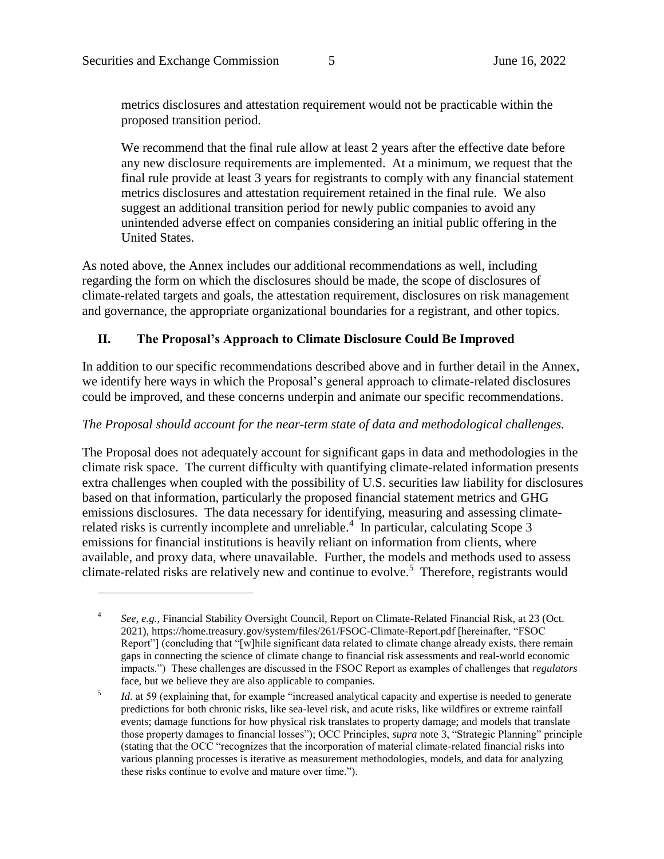metrics disclosures and attestation requirement would not be practicable within the proposed transition period.

We recommend that the final rule allow at least 2 years after the effective date before any new disclosure requirements are implemented. At a minimum, we request that the final rule provide at least 3 years for registrants to comply with any financial statement metrics disclosures and attestation requirement retained in the final rule. We also suggest an additional transition period for newly public companies to avoid any unintended adverse effect on companies considering an initial public offering in the United States.

As noted above, the Annex includes our additional recommendations as well, including regarding the form on which the disclosures should be made, the scope of disclosures of climate-related targets and goals, the attestation requirement, disclosures on risk management and governance, the appropriate organizational boundaries for a registrant, and other topics.

### **II. The Proposal's Approach to Climate Disclosure Could Be Improved**

In addition to our specific recommendations described above and in further detail in the Annex, we identify here ways in which the Proposal's general approach to climate-related disclosures could be improved, and these concerns underpin and animate our specific recommendations.

#### *The Proposal should account for the near-term state of data and methodological challenges.*

The Proposal does not adequately account for significant gaps in data and methodologies in the climate risk space. The current difficulty with quantifying climate-related information presents extra challenges when coupled with the possibility of U.S. securities law liability for disclosures based on that information, particularly the proposed financial statement metrics and GHG emissions disclosures. The data necessary for identifying, measuring and assessing climaterelated risks is currently incomplete and unreliable.<sup>4</sup> In particular, calculating Scope 3 emissions for financial institutions is heavily reliant on information from clients, where available, and proxy data, where unavailable. Further, the models and methods used to assess climate-related risks are relatively new and continue to evolve.<sup>5</sup> Therefore, registrants would

<span id="page-4-0"></span><sup>4</sup> *See, e.g.*, Financial Stability Oversight Council, Report on Climate-Related Financial Risk, at 23 (Oct. 2021), https://home.treasury.gov/system/files/261/FSOC-Climate-Report.pdf [hereinafter, "FSOC Report"] (concluding that "[w]hile significant data related to climate change already exists, there remain gaps in connecting the science of climate change to financial risk assessments and real-world economic impacts.") These challenges are discussed in the FSOC Report as examples of challenges that *regulators* face, but we believe they are also applicable to companies.

<sup>5</sup> *Id.* at 59 (explaining that, for example "increased analytical capacity and expertise is needed to generate predictions for both chronic risks, like sea-level risk, and acute risks, like wildfires or extreme rainfall events; damage functions for how physical risk translates to property damage; and models that translate those property damages to financial losses"); OCC Principles, *supra* note [3,](#page-3-0) "Strategic Planning" principle (stating that the OCC "recognizes that the incorporation of material climate-related financial risks into various planning processes is iterative as measurement methodologies, models, and data for analyzing these risks continue to evolve and mature over time.").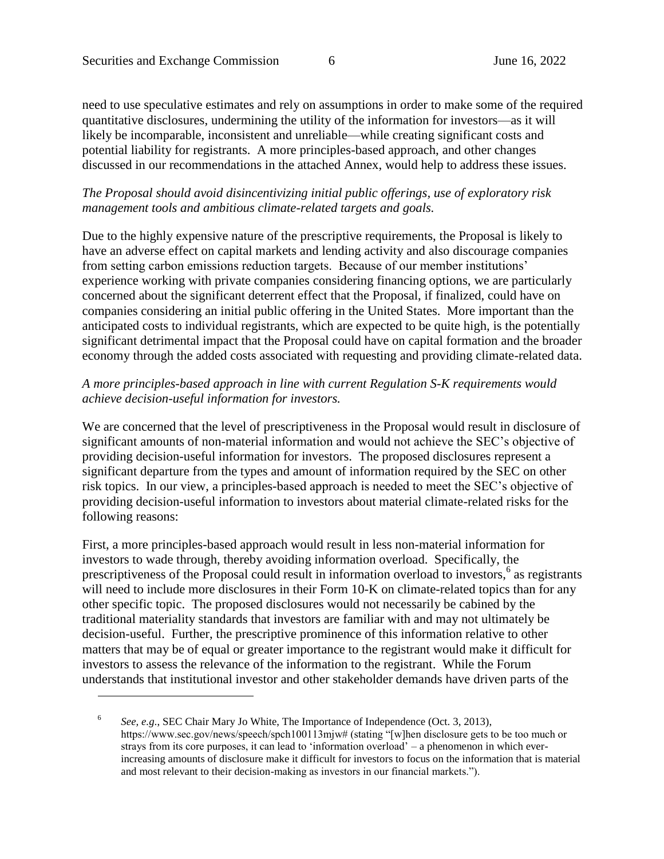need to use speculative estimates and rely on assumptions in order to make some of the required quantitative disclosures, undermining the utility of the information for investors—as it will likely be incomparable, inconsistent and unreliable—while creating significant costs and potential liability for registrants. A more principles-based approach, and other changes discussed in our recommendations in the attached Annex, would help to address these issues.

### *The Proposal should avoid disincentivizing initial public offerings, use of exploratory risk management tools and ambitious climate-related targets and goals.*

Due to the highly expensive nature of the prescriptive requirements, the Proposal is likely to have an adverse effect on capital markets and lending activity and also discourage companies from setting carbon emissions reduction targets. Because of our member institutions' experience working with private companies considering financing options, we are particularly concerned about the significant deterrent effect that the Proposal, if finalized, could have on companies considering an initial public offering in the United States. More important than the anticipated costs to individual registrants, which are expected to be quite high, is the potentially significant detrimental impact that the Proposal could have on capital formation and the broader economy through the added costs associated with requesting and providing climate-related data.

#### *A more principles-based approach in line with current Regulation S-K requirements would achieve decision-useful information for investors.*

We are concerned that the level of prescriptiveness in the Proposal would result in disclosure of significant amounts of non-material information and would not achieve the SEC's objective of providing decision-useful information for investors. The proposed disclosures represent a significant departure from the types and amount of information required by the SEC on other risk topics. In our view, a principles-based approach is needed to meet the SEC's objective of providing decision-useful information to investors about material climate-related risks for the following reasons:

First, a more principles-based approach would result in less non-material information for investors to wade through, thereby avoiding information overload. Specifically, the prescriptiveness of the Proposal could result in information overload to investors,<sup>6</sup> as registrants will need to include more disclosures in their Form 10-K on climate-related topics than for any other specific topic. The proposed disclosures would not necessarily be cabined by the traditional materiality standards that investors are familiar with and may not ultimately be decision-useful. Further, the prescriptive prominence of this information relative to other matters that may be of equal or greater importance to the registrant would make it difficult for investors to assess the relevance of the information to the registrant. While the Forum understands that institutional investor and other stakeholder demands have driven parts of the

<sup>6</sup> *See, e.g.*, SEC Chair Mary Jo White, The Importance of Independence (Oct. 3, 2013), https://www.sec.gov/news/speech/spch100113mjw# (stating "[w]hen disclosure gets to be too much or strays from its core purposes, it can lead to 'information overload' – a phenomenon in which everincreasing amounts of disclosure make it difficult for investors to focus on the information that is material and most relevant to their decision-making as investors in our financial markets.").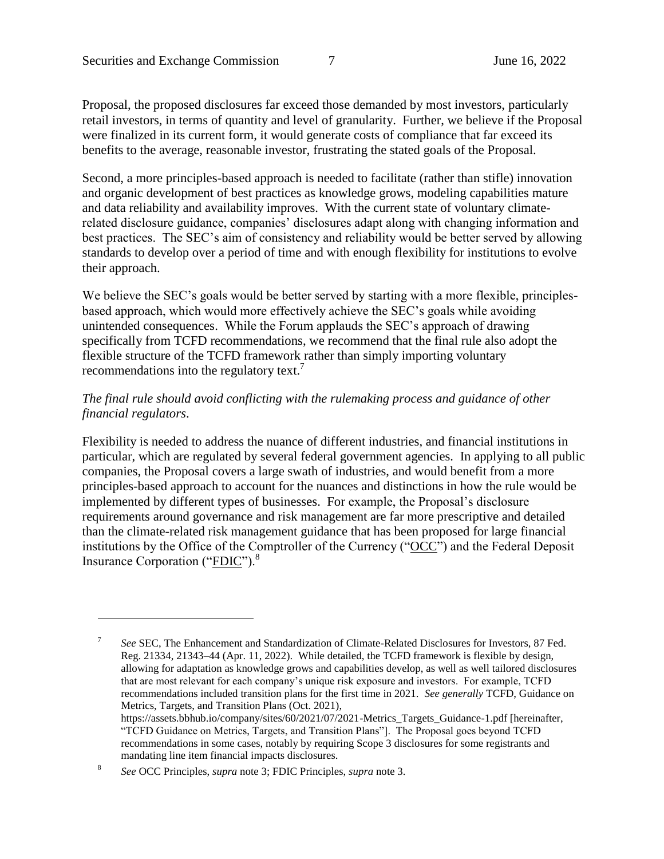Proposal, the proposed disclosures far exceed those demanded by most investors, particularly retail investors, in terms of quantity and level of granularity. Further, we believe if the Proposal were finalized in its current form, it would generate costs of compliance that far exceed its benefits to the average, reasonable investor, frustrating the stated goals of the Proposal.

Second, a more principles-based approach is needed to facilitate (rather than stifle) innovation and organic development of best practices as knowledge grows, modeling capabilities mature and data reliability and availability improves. With the current state of voluntary climaterelated disclosure guidance, companies' disclosures adapt along with changing information and best practices. The SEC's aim of consistency and reliability would be better served by allowing standards to develop over a period of time and with enough flexibility for institutions to evolve their approach.

We believe the SEC's goals would be better served by starting with a more flexible, principlesbased approach, which would more effectively achieve the SEC's goals while avoiding unintended consequences. While the Forum applauds the SEC's approach of drawing specifically from TCFD recommendations, we recommend that the final rule also adopt the flexible structure of the TCFD framework rather than simply importing voluntary recommendations into the regulatory text.<sup>7</sup>

#### <span id="page-6-0"></span>*The final rule should avoid conflicting with the rulemaking process and guidance of other financial regulators*.

Flexibility is needed to address the nuance of different industries, and financial institutions in particular, which are regulated by several federal government agencies. In applying to all public companies, the Proposal covers a large swath of industries, and would benefit from a more principles-based approach to account for the nuances and distinctions in how the rule would be implemented by different types of businesses. For example, the Proposal's disclosure requirements around governance and risk management are far more prescriptive and detailed than the climate-related risk management guidance that has been proposed for large financial institutions by the Office of the Comptroller of the Currency ("OCC") and the Federal Deposit Insurance Corporation ("FDIC").<sup>8</sup>

<sup>7</sup> *See* SEC, The Enhancement and Standardization of Climate-Related Disclosures for Investors, 87 Fed. Reg. 21334, 21343–44 (Apr. 11, 2022). While detailed, the TCFD framework is flexible by design, allowing for adaptation as knowledge grows and capabilities develop, as well as well tailored disclosures that are most relevant for each company's unique risk exposure and investors. For example, TCFD recommendations included transition plans for the first time in 2021. *See generally* TCFD, Guidance on Metrics, Targets, and Transition Plans (Oct. 2021), https://assets.bbhub.io/company/sites/60/2021/07/2021-Metrics\_Targets\_Guidance-1.pdf [hereinafter, "TCFD Guidance on Metrics, Targets, and Transition Plans"]. The Proposal goes beyond TCFD recommendations in some cases, notably by requiring Scope 3 disclosures for some registrants and mandating line item financial impacts disclosures.

<sup>8</sup> *See* OCC Principles, *supra* note [3;](#page-3-0) FDIC Principles, *supra* not[e 3.](#page-3-0)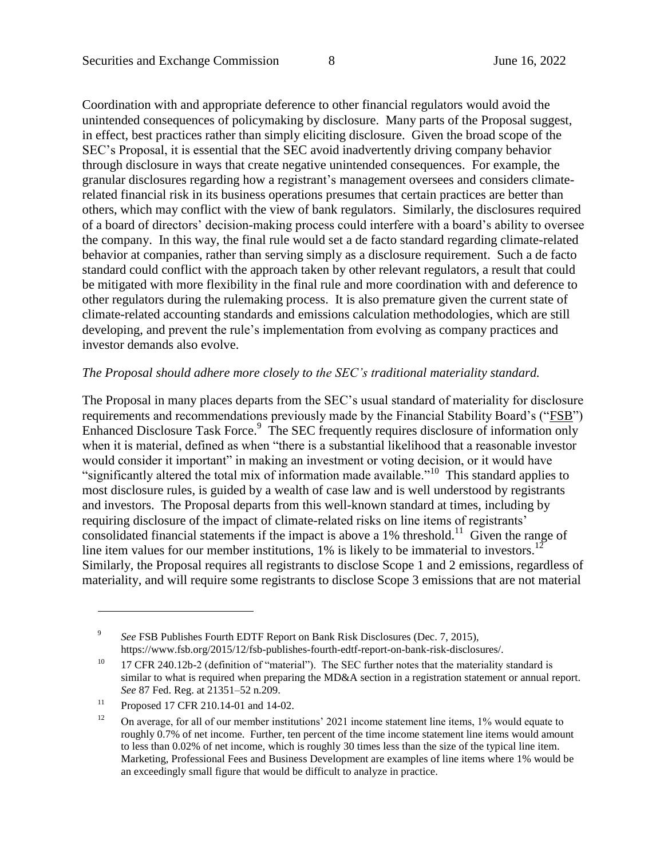Coordination with and appropriate deference to other financial regulators would avoid the unintended consequences of policymaking by disclosure. Many parts of the Proposal suggest, in effect, best practices rather than simply eliciting disclosure. Given the broad scope of the SEC's Proposal, it is essential that the SEC avoid inadvertently driving company behavior through disclosure in ways that create negative unintended consequences. For example, the granular disclosures regarding how a registrant's management oversees and considers climaterelated financial risk in its business operations presumes that certain practices are better than others, which may conflict with the view of bank regulators. Similarly, the disclosures required of a board of directors' decision-making process could interfere with a board's ability to oversee the company. In this way, the final rule would set a de facto standard regarding climate-related behavior at companies, rather than serving simply as a disclosure requirement. Such a de facto standard could conflict with the approach taken by other relevant regulators, a result that could be mitigated with more flexibility in the final rule and more coordination with and deference to other regulators during the rulemaking process. It is also premature given the current state of climate-related accounting standards and emissions calculation methodologies, which are still developing, and prevent the rule's implementation from evolving as company practices and investor demands also evolve.

#### *The Proposal should adhere more closely to the SEC's traditional materiality standard.*

The Proposal in many places departs from the SEC's usual standard of materiality for disclosure requirements and recommendations previously made by the Financial Stability Board's ("FSB") Enhanced Disclosure Task Force.<sup>9</sup> The SEC frequently requires disclosure of information only when it is material, defined as when "there is a substantial likelihood that a reasonable investor would consider it important" in making an investment or voting decision, or it would have "significantly altered the total mix of information made available."<sup>10</sup> This standard applies to most disclosure rules, is guided by a wealth of case law and is well understood by registrants and investors. The Proposal departs from this well-known standard at times, including by requiring disclosure of the impact of climate-related risks on line items of registrants' consolidated financial statements if the impact is above a  $1\%$  threshold.<sup>11</sup> Given the range of line item values for our member institutions,  $1\%$  is likely to be immaterial to investors.<sup>12</sup> Similarly, the Proposal requires all registrants to disclose Scope 1 and 2 emissions, regardless of materiality, and will require some registrants to disclose Scope 3 emissions that are not material

<sup>9</sup> *See* FSB Publishes Fourth EDTF Report on Bank Risk Disclosures (Dec. 7, 2015), https://www.fsb.org/2015/12/fsb-publishes-fourth-edtf-report-on-bank-risk-disclosures/.

<sup>&</sup>lt;sup>10</sup> 17 CFR 240.12b-2 (definition of "material"). The SEC further notes that the materiality standard is similar to what is required when preparing the MD&A section in a registration statement or annual report. *See* 87 Fed. Reg. at 21351–52 n.209.

<sup>&</sup>lt;sup>11</sup> Proposed 17 CFR 210.14-01 and 14-02.

<sup>&</sup>lt;sup>12</sup> On average, for all of our member institutions' 2021 income statement line items,  $1\%$  would equate to roughly 0.7% of net income. Further, ten percent of the time income statement line items would amount to less than 0.02% of net income, which is roughly 30 times less than the size of the typical line item. Marketing, Professional Fees and Business Development are examples of line items where 1% would be an exceedingly small figure that would be difficult to analyze in practice.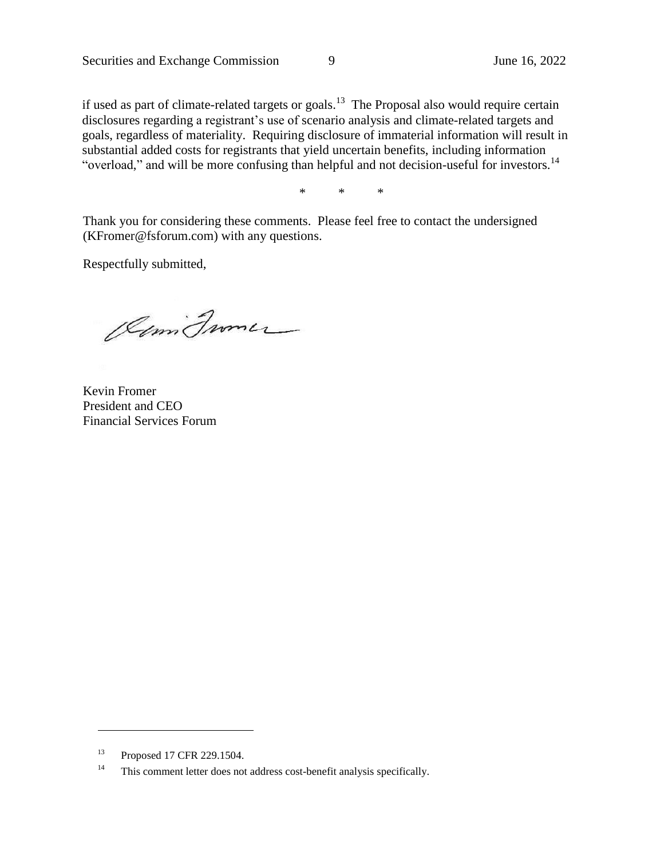if used as part of climate-related targets or goals.<sup>13</sup> The Proposal also would require certain disclosures regarding a registrant's use of scenario analysis and climate-related targets and goals, regardless of materiality. Requiring disclosure of immaterial information will result in substantial added costs for registrants that yield uncertain benefits, including information "overload," and will be more confusing than helpful and not decision-useful for investors.<sup>14</sup>

\* \* \*

Thank you for considering these comments. Please feel free to contact the undersigned (KFromer@fsforum.com) with any questions.

Respectfully submitted,

Comi France

Kevin Fromer President and CEO Financial Services Forum

<sup>13</sup> Proposed 17 CFR 229.1504.

<sup>&</sup>lt;sup>14</sup> This comment letter does not address cost-benefit analysis specifically.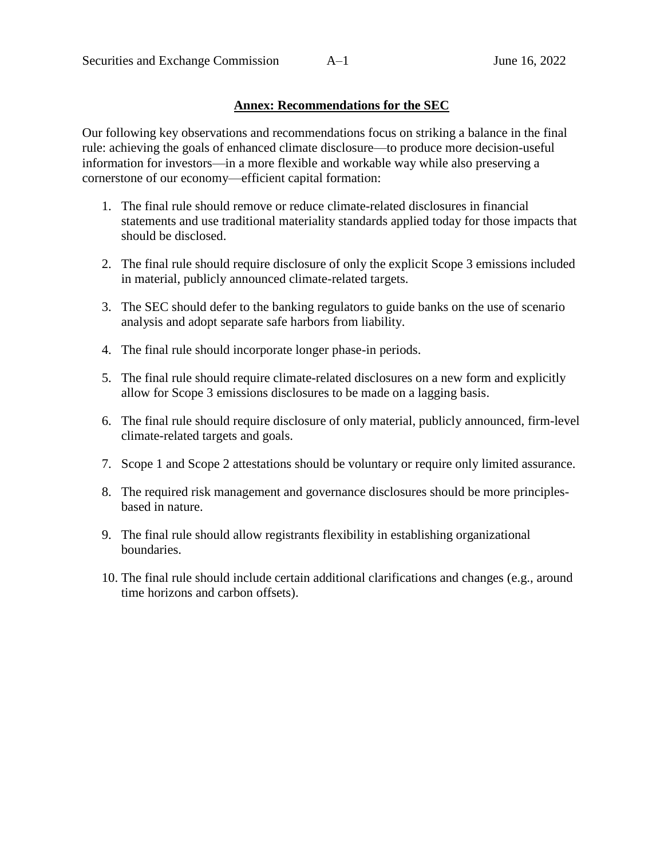#### **Annex: Recommendations for the SEC**

Our following key observations and recommendations focus on striking a balance in the final rule: achieving the goals of enhanced climate disclosure—to produce more decision-useful information for investors—in a more flexible and workable way while also preserving a cornerstone of our economy—efficient capital formation:

- 1. The final rule should remove or reduce climate-related disclosures in financial statements and use traditional materiality standards applied today for those impacts that should be disclosed.
- 2. The final rule should require disclosure of only the explicit Scope 3 emissions included in material, publicly announced climate-related targets.
- 3. The SEC should defer to the banking regulators to guide banks on the use of scenario analysis and adopt separate safe harbors from liability.
- 4. The final rule should incorporate longer phase-in periods.
- 5. The final rule should require climate-related disclosures on a new form and explicitly allow for Scope 3 emissions disclosures to be made on a lagging basis.
- 6. The final rule should require disclosure of only material, publicly announced, firm-level climate-related targets and goals.
- 7. Scope 1 and Scope 2 attestations should be voluntary or require only limited assurance.
- 8. The required risk management and governance disclosures should be more principlesbased in nature.
- 9. The final rule should allow registrants flexibility in establishing organizational boundaries.
- 10. The final rule should include certain additional clarifications and changes (e.g., around time horizons and carbon offsets).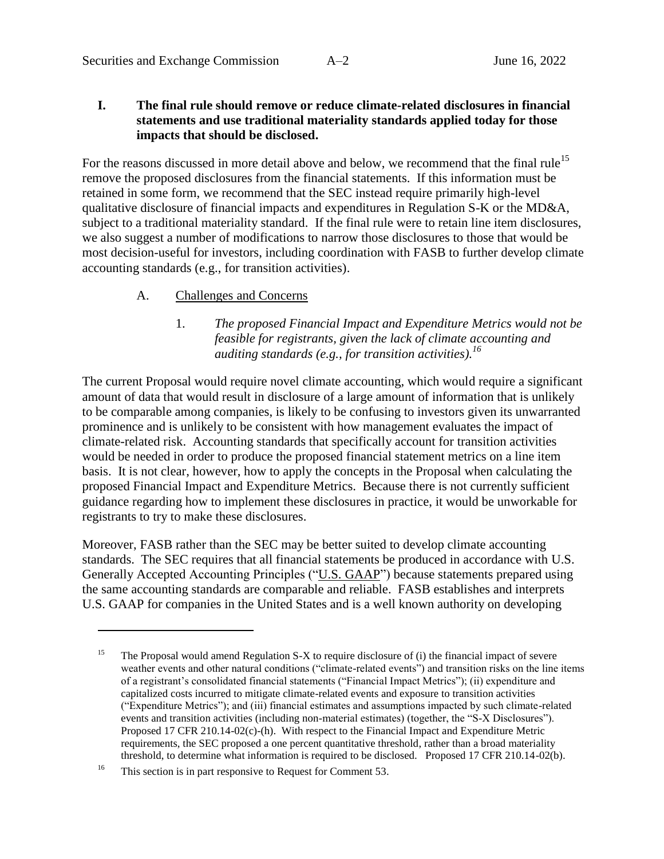#### **I. The final rule should remove or reduce climate-related disclosures in financial statements and use traditional materiality standards applied today for those impacts that should be disclosed.**

For the reasons discussed in more detail above and below, we recommend that the final rule<sup>15</sup> remove the proposed disclosures from the financial statements. If this information must be retained in some form, we recommend that the SEC instead require primarily high-level qualitative disclosure of financial impacts and expenditures in Regulation S-K or the MD&A, subject to a traditional materiality standard. If the final rule were to retain line item disclosures, we also suggest a number of modifications to narrow those disclosures to those that would be most decision-useful for investors, including coordination with FASB to further develop climate accounting standards (e.g., for transition activities).

#### A. Challenges and Concerns

1. *The proposed Financial Impact and Expenditure Metrics would not be feasible for registrants, given the lack of climate accounting and auditing standards (e.g., for transition activities). 16*

The current Proposal would require novel climate accounting, which would require a significant amount of data that would result in disclosure of a large amount of information that is unlikely to be comparable among companies, is likely to be confusing to investors given its unwarranted prominence and is unlikely to be consistent with how management evaluates the impact of climate-related risk. Accounting standards that specifically account for transition activities would be needed in order to produce the proposed financial statement metrics on a line item basis. It is not clear, however, how to apply the concepts in the Proposal when calculating the proposed Financial Impact and Expenditure Metrics. Because there is not currently sufficient guidance regarding how to implement these disclosures in practice, it would be unworkable for registrants to try to make these disclosures.

Moreover, FASB rather than the SEC may be better suited to develop climate accounting standards. The SEC requires that all financial statements be produced in accordance with U.S. Generally Accepted Accounting Principles ("U.S. GAAP") because statements prepared using the same accounting standards are comparable and reliable. FASB establishes and interprets U.S. GAAP for companies in the United States and is a well known authority on developing

<sup>&</sup>lt;sup>15</sup> The Proposal would amend Regulation S-X to require disclosure of (i) the financial impact of severe weather events and other natural conditions ("climate-related events") and transition risks on the line items of a registrant's consolidated financial statements ("Financial Impact Metrics"); (ii) expenditure and capitalized costs incurred to mitigate climate-related events and exposure to transition activities ("Expenditure Metrics"); and (iii) financial estimates and assumptions impacted by such climate-related events and transition activities (including non-material estimates) (together, the "S-X Disclosures"). Proposed 17 CFR 210.14-02(c)-(h). With respect to the Financial Impact and Expenditure Metric requirements, the SEC proposed a one percent quantitative threshold, rather than a broad materiality threshold, to determine what information is required to be disclosed. Proposed 17 CFR 210.14-02(b).

<sup>&</sup>lt;sup>16</sup> This section is in part responsive to Request for Comment 53.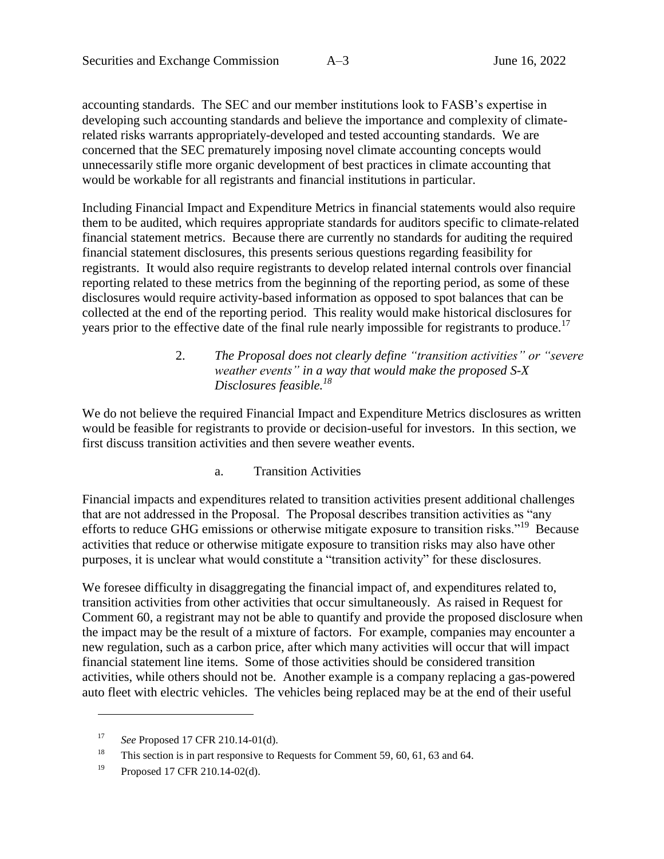accounting standards. The SEC and our member institutions look to FASB's expertise in developing such accounting standards and believe the importance and complexity of climaterelated risks warrants appropriately-developed and tested accounting standards. We are concerned that the SEC prematurely imposing novel climate accounting concepts would unnecessarily stifle more organic development of best practices in climate accounting that would be workable for all registrants and financial institutions in particular.

Including Financial Impact and Expenditure Metrics in financial statements would also require them to be audited, which requires appropriate standards for auditors specific to climate-related financial statement metrics. Because there are currently no standards for auditing the required financial statement disclosures, this presents serious questions regarding feasibility for registrants. It would also require registrants to develop related internal controls over financial reporting related to these metrics from the beginning of the reporting period, as some of these disclosures would require activity-based information as opposed to spot balances that can be collected at the end of the reporting period. This reality would make historical disclosures for years prior to the effective date of the final rule nearly impossible for registrants to produce.<sup>17</sup>

### 2. *The Proposal does not clearly define "transition activities" or "severe weather events" in a way that would make the proposed S-X Disclosures feasible.<sup>18</sup>*

We do not believe the required Financial Impact and Expenditure Metrics disclosures as written would be feasible for registrants to provide or decision-useful for investors. In this section, we first discuss transition activities and then severe weather events.

### a. Transition Activities

Financial impacts and expenditures related to transition activities present additional challenges that are not addressed in the Proposal. The Proposal describes transition activities as "any efforts to reduce GHG emissions or otherwise mitigate exposure to transition risks."<sup>19</sup> Because activities that reduce or otherwise mitigate exposure to transition risks may also have other purposes, it is unclear what would constitute a "transition activity" for these disclosures.

We foresee difficulty in disaggregating the financial impact of, and expenditures related to, transition activities from other activities that occur simultaneously. As raised in Request for Comment 60, a registrant may not be able to quantify and provide the proposed disclosure when the impact may be the result of a mixture of factors. For example, companies may encounter a new regulation, such as a carbon price, after which many activities will occur that will impact financial statement line items. Some of those activities should be considered transition activities, while others should not be. Another example is a company replacing a gas-powered auto fleet with electric vehicles. The vehicles being replaced may be at the end of their useful

<sup>17</sup> *See* Proposed 17 CFR 210.14-01(d).

<sup>&</sup>lt;sup>18</sup> This section is in part responsive to Requests for Comment 59, 60, 61, 63 and 64.

<sup>19</sup> Proposed 17 CFR 210.14-02(d).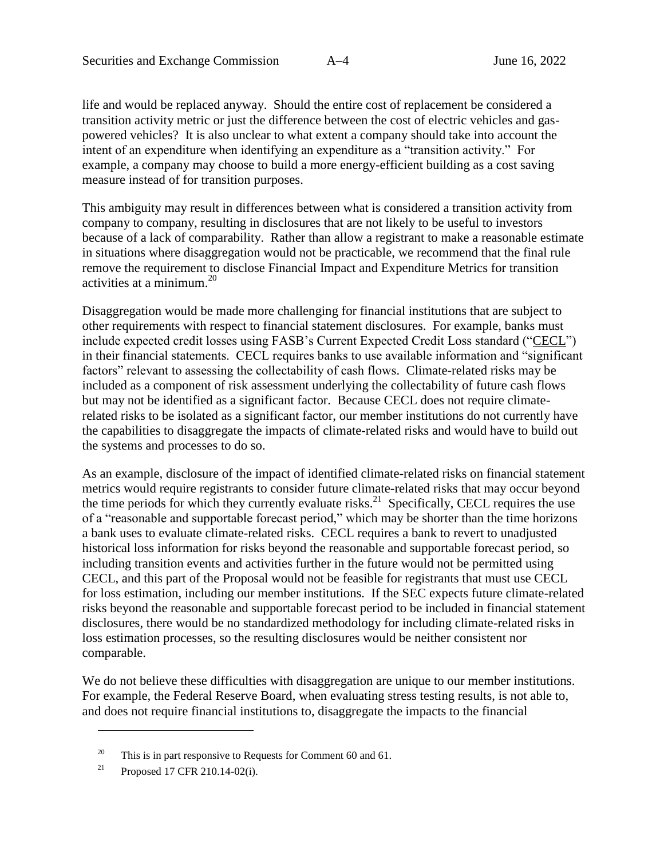life and would be replaced anyway. Should the entire cost of replacement be considered a transition activity metric or just the difference between the cost of electric vehicles and gaspowered vehicles? It is also unclear to what extent a company should take into account the intent of an expenditure when identifying an expenditure as a "transition activity." For example, a company may choose to build a more energy-efficient building as a cost saving measure instead of for transition purposes.

This ambiguity may result in differences between what is considered a transition activity from company to company, resulting in disclosures that are not likely to be useful to investors because of a lack of comparability. Rather than allow a registrant to make a reasonable estimate in situations where disaggregation would not be practicable, we recommend that the final rule remove the requirement to disclose Financial Impact and Expenditure Metrics for transition activities at a minimum. 20

Disaggregation would be made more challenging for financial institutions that are subject to other requirements with respect to financial statement disclosures. For example, banks must include expected credit losses using FASB's Current Expected Credit Loss standard ("CECL") in their financial statements. CECL requires banks to use available information and "significant factors" relevant to assessing the collectability of cash flows. Climate-related risks may be included as a component of risk assessment underlying the collectability of future cash flows but may not be identified as a significant factor. Because CECL does not require climaterelated risks to be isolated as a significant factor, our member institutions do not currently have the capabilities to disaggregate the impacts of climate-related risks and would have to build out the systems and processes to do so.

As an example, disclosure of the impact of identified climate-related risks on financial statement metrics would require registrants to consider future climate-related risks that may occur beyond the time periods for which they currently evaluate risks.<sup>21</sup> Specifically, CECL requires the use of a "reasonable and supportable forecast period," which may be shorter than the time horizons a bank uses to evaluate climate-related risks. CECL requires a bank to revert to unadjusted historical loss information for risks beyond the reasonable and supportable forecast period, so including transition events and activities further in the future would not be permitted using CECL, and this part of the Proposal would not be feasible for registrants that must use CECL for loss estimation, including our member institutions. If the SEC expects future climate-related risks beyond the reasonable and supportable forecast period to be included in financial statement disclosures, there would be no standardized methodology for including climate-related risks in loss estimation processes, so the resulting disclosures would be neither consistent nor comparable.

We do not believe these difficulties with disaggregation are unique to our member institutions. For example, the Federal Reserve Board, when evaluating stress testing results, is not able to, and does not require financial institutions to, disaggregate the impacts to the financial

<sup>&</sup>lt;sup>20</sup> This is in part responsive to Requests for Comment 60 and 61.

<sup>&</sup>lt;sup>21</sup> Proposed 17 CFR 210.14-02(i).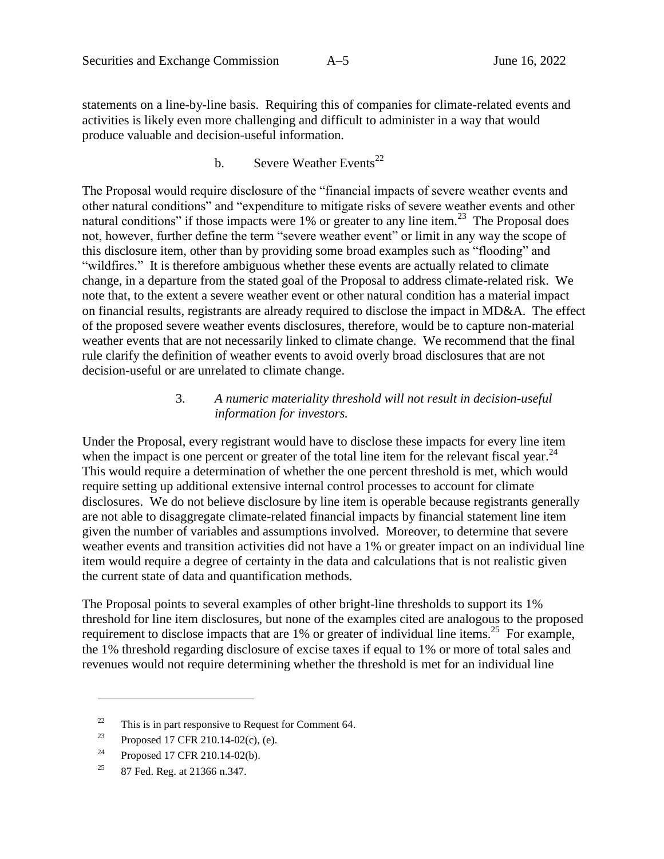statements on a line-by-line basis. Requiring this of companies for climate-related events and activities is likely even more challenging and difficult to administer in a way that would produce valuable and decision-useful information.

# b. Severe Weather Events<sup>22</sup>

The Proposal would require disclosure of the "financial impacts of severe weather events and other natural conditions" and "expenditure to mitigate risks of severe weather events and other natural conditions" if those impacts were  $1\%$  or greater to any line item.<sup>23</sup> The Proposal does not, however, further define the term "severe weather event" or limit in any way the scope of this disclosure item, other than by providing some broad examples such as "flooding" and "wildfires." It is therefore ambiguous whether these events are actually related to climate change, in a departure from the stated goal of the Proposal to address climate-related risk. We note that, to the extent a severe weather event or other natural condition has a material impact on financial results, registrants are already required to disclose the impact in MD&A. The effect of the proposed severe weather events disclosures, therefore, would be to capture non-material weather events that are not necessarily linked to climate change. We recommend that the final rule clarify the definition of weather events to avoid overly broad disclosures that are not decision-useful or are unrelated to climate change.

### 3. *A numeric materiality threshold will not result in decision-useful information for investors.*

Under the Proposal, every registrant would have to disclose these impacts for every line item when the impact is one percent or greater of the total line item for the relevant fiscal year. $^{24}$ This would require a determination of whether the one percent threshold is met, which would require setting up additional extensive internal control processes to account for climate disclosures. We do not believe disclosure by line item is operable because registrants generally are not able to disaggregate climate-related financial impacts by financial statement line item given the number of variables and assumptions involved. Moreover, to determine that severe weather events and transition activities did not have a 1% or greater impact on an individual line item would require a degree of certainty in the data and calculations that is not realistic given the current state of data and quantification methods.

The Proposal points to several examples of other bright-line thresholds to support its 1% threshold for line item disclosures, but none of the examples cited are analogous to the proposed requirement to disclose impacts that are  $1\%$  or greater of individual line items.<sup>25</sup> For example, the 1% threshold regarding disclosure of excise taxes if equal to 1% or more of total sales and revenues would not require determining whether the threshold is met for an individual line

 $22$  This is in part responsive to Request for Comment 64.

<sup>&</sup>lt;sup>23</sup> Proposed 17 CFR 210.14-02(c), (e).

 $24$  Proposed 17 CFR 210.14-02(b).

<sup>&</sup>lt;sup>25</sup> 87 Fed. Reg. at 21366 n.347.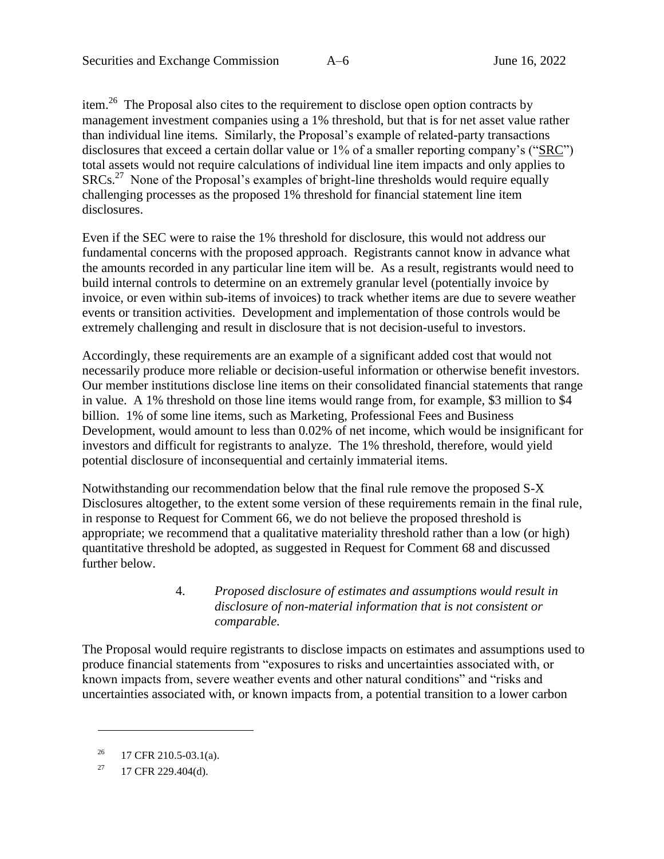item.<sup>26</sup> The Proposal also cites to the requirement to disclose open option contracts by management investment companies using a 1% threshold, but that is for net asset value rather than individual line items. Similarly, the Proposal's example of related-party transactions disclosures that exceed a certain dollar value or 1% of a smaller reporting company's ("SRC") total assets would not require calculations of individual line item impacts and only applies to SRCs.<sup>27</sup> None of the Proposal's examples of bright-line thresholds would require equally challenging processes as the proposed 1% threshold for financial statement line item disclosures.

Even if the SEC were to raise the 1% threshold for disclosure, this would not address our fundamental concerns with the proposed approach. Registrants cannot know in advance what the amounts recorded in any particular line item will be. As a result, registrants would need to build internal controls to determine on an extremely granular level (potentially invoice by invoice, or even within sub-items of invoices) to track whether items are due to severe weather events or transition activities. Development and implementation of those controls would be extremely challenging and result in disclosure that is not decision-useful to investors.

Accordingly, these requirements are an example of a significant added cost that would not necessarily produce more reliable or decision-useful information or otherwise benefit investors. Our member institutions disclose line items on their consolidated financial statements that range in value. A 1% threshold on those line items would range from, for example, \$3 million to \$4 billion. 1% of some line items, such as Marketing, Professional Fees and Business Development, would amount to less than 0.02% of net income, which would be insignificant for investors and difficult for registrants to analyze. The 1% threshold, therefore, would yield potential disclosure of inconsequential and certainly immaterial items.

Notwithstanding our recommendation below that the final rule remove the proposed S-X Disclosures altogether, to the extent some version of these requirements remain in the final rule, in response to Request for Comment 66, we do not believe the proposed threshold is appropriate; we recommend that a qualitative materiality threshold rather than a low (or high) quantitative threshold be adopted, as suggested in Request for Comment 68 and discussed further below.

### 4. *Proposed disclosure of estimates and assumptions would result in disclosure of non-material information that is not consistent or comparable.*

The Proposal would require registrants to disclose impacts on estimates and assumptions used to produce financial statements from "exposures to risks and uncertainties associated with, or known impacts from, severe weather events and other natural conditions" and "risks and uncertainties associated with, or known impacts from, a potential transition to a lower carbon

<sup>&</sup>lt;sup>26</sup> 17 CFR 210.5-03.1(a).

 $^{27}$  17 CFR 229.404(d).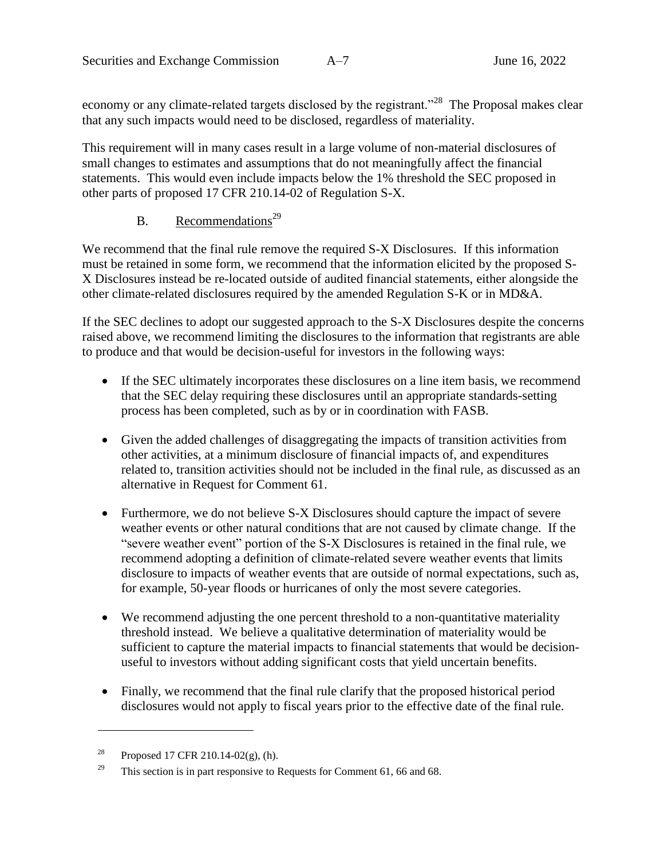economy or any climate-related targets disclosed by the registrant."<sup>28</sup> The Proposal makes clear that any such impacts would need to be disclosed, regardless of materiality.

This requirement will in many cases result in a large volume of non-material disclosures of small changes to estimates and assumptions that do not meaningfully affect the financial statements. This would even include impacts below the 1% threshold the SEC proposed in other parts of proposed 17 CFR 210.14-02 of Regulation S-X.

# B. Recommendations<sup>29</sup>

We recommend that the final rule remove the required S-X Disclosures. If this information must be retained in some form, we recommend that the information elicited by the proposed S-X Disclosures instead be re-located outside of audited financial statements, either alongside the other climate-related disclosures required by the amended Regulation S-K or in MD&A.

If the SEC declines to adopt our suggested approach to the S-X Disclosures despite the concerns raised above, we recommend limiting the disclosures to the information that registrants are able to produce and that would be decision-useful for investors in the following ways:

- If the SEC ultimately incorporates these disclosures on a line item basis, we recommend that the SEC delay requiring these disclosures until an appropriate standards-setting process has been completed, such as by or in coordination with FASB.
- Given the added challenges of disaggregating the impacts of transition activities from other activities, at a minimum disclosure of financial impacts of, and expenditures related to, transition activities should not be included in the final rule, as discussed as an alternative in Request for Comment 61.
- Furthermore, we do not believe S-X Disclosures should capture the impact of severe weather events or other natural conditions that are not caused by climate change. If the "severe weather event" portion of the S-X Disclosures is retained in the final rule, we recommend adopting a definition of climate-related severe weather events that limits disclosure to impacts of weather events that are outside of normal expectations, such as, for example, 50-year floods or hurricanes of only the most severe categories.
- We recommend adjusting the one percent threshold to a non-quantitative materiality threshold instead. We believe a qualitative determination of materiality would be sufficient to capture the material impacts to financial statements that would be decisionuseful to investors without adding significant costs that yield uncertain benefits.
- Finally, we recommend that the final rule clarify that the proposed historical period disclosures would not apply to fiscal years prior to the effective date of the final rule.

<sup>&</sup>lt;sup>28</sup> Proposed 17 CFR 210.14-02(g), (h).

<sup>&</sup>lt;sup>29</sup> This section is in part responsive to Requests for Comment 61, 66 and 68.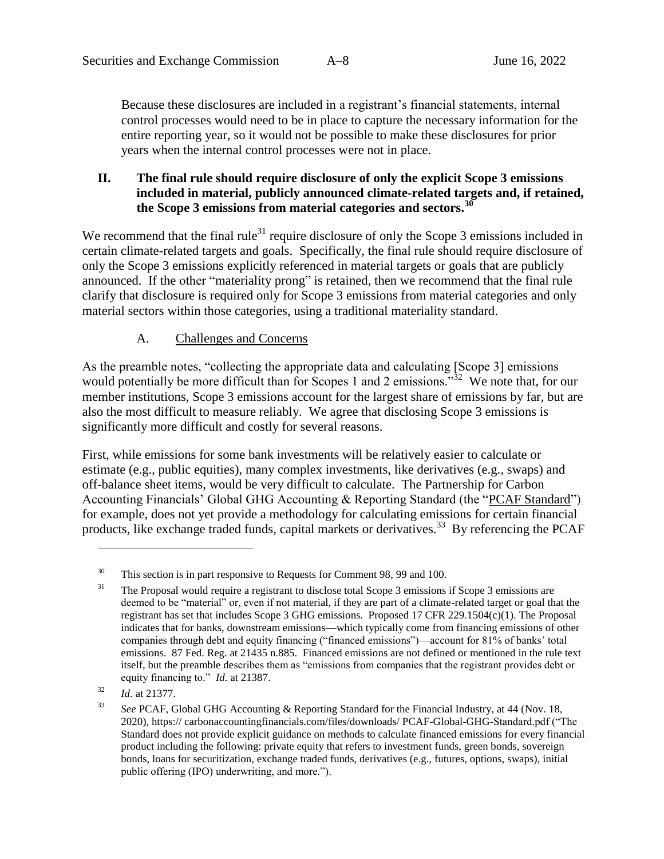Because these disclosures are included in a registrant's financial statements, internal control processes would need to be in place to capture the necessary information for the entire reporting year, so it would not be possible to make these disclosures for prior years when the internal control processes were not in place.

# **II. The final rule should require disclosure of only the explicit Scope 3 emissions included in material, publicly announced climate-related targets and, if retained, the Scope 3 emissions from material categories and sectors. 30**

We recommend that the final rule<sup>31</sup> require disclosure of only the Scope 3 emissions included in certain climate-related targets and goals. Specifically, the final rule should require disclosure of only the Scope 3 emissions explicitly referenced in material targets or goals that are publicly announced. If the other "materiality prong" is retained, then we recommend that the final rule clarify that disclosure is required only for Scope 3 emissions from material categories and only material sectors within those categories, using a traditional materiality standard.

# A. Challenges and Concerns

<span id="page-16-0"></span>As the preamble notes, "collecting the appropriate data and calculating [Scope 3] emissions would potentially be more difficult than for Scopes 1 and 2 emissions.<sup>32</sup> We note that, for our member institutions, Scope 3 emissions account for the largest share of emissions by far, but are also the most difficult to measure reliably. We agree that disclosing Scope 3 emissions is significantly more difficult and costly for several reasons.

First, while emissions for some bank investments will be relatively easier to calculate or estimate (e.g., public equities), many complex investments, like derivatives (e.g., swaps) and off-balance sheet items, would be very difficult to calculate. The Partnership for Carbon Accounting Financials' Global GHG Accounting & Reporting Standard (the "PCAF Standard") for example, does not yet provide a methodology for calculating emissions for certain financial products, like exchange traded funds, capital markets or derivatives.<sup>33</sup> By referencing the PCAF

 $30$  This section is in part responsive to Requests for Comment 98, 99 and 100.

<sup>&</sup>lt;sup>31</sup> The Proposal would require a registrant to disclose total Scope 3 emissions if Scope 3 emissions are deemed to be "material" or, even if not material, if they are part of a climate-related target or goal that the registrant has set that includes Scope 3 GHG emissions. Proposed 17 CFR 229.1504(c)(1). The Proposal indicates that for banks, downstream emissions—which typically come from financing emissions of other companies through debt and equity financing ("financed emissions")—account for 81% of banks' total emissions. 87 Fed. Reg. at 21435 n.885. Financed emissions are not defined or mentioned in the rule text itself, but the preamble describes them as "emissions from companies that the registrant provides debt or equity financing to." *Id.* at 21387.

<sup>32</sup> *Id.* at 21377.

<sup>33</sup> *See* PCAF, Global GHG Accounting & Reporting Standard for the Financial Industry, at 44 (Nov. 18, 2020), https:// carbonaccountingfinancials.com/files/downloads/ PCAF-Global-GHG-Standard.pdf ("The Standard does not provide explicit guidance on methods to calculate financed emissions for every financial product including the following: private equity that refers to investment funds, green bonds, sovereign bonds, loans for securitization, exchange traded funds, derivatives (e.g., futures, options, swaps), initial public offering (IPO) underwriting, and more.").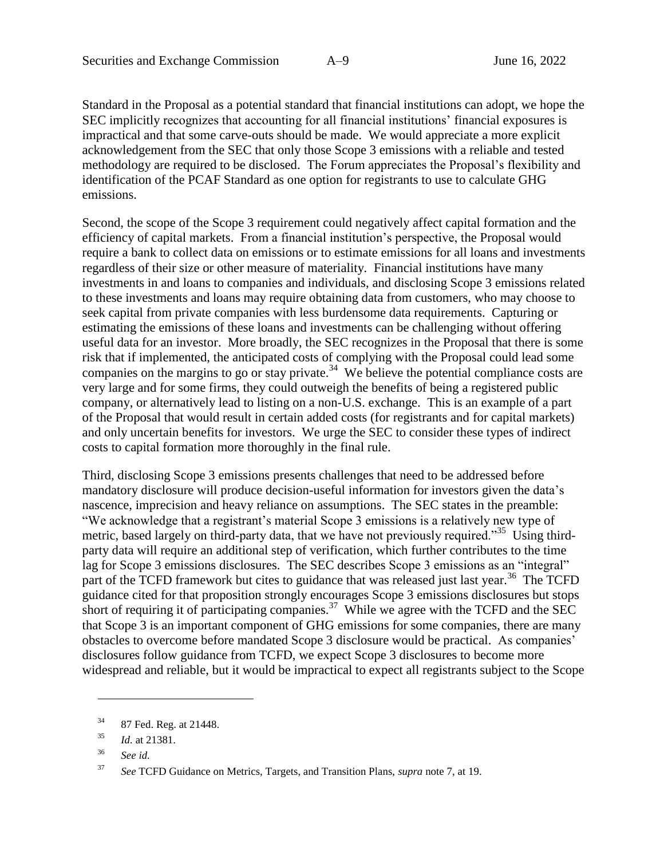Standard in the Proposal as a potential standard that financial institutions can adopt, we hope the SEC implicitly recognizes that accounting for all financial institutions' financial exposures is impractical and that some carve-outs should be made. We would appreciate a more explicit acknowledgement from the SEC that only those Scope 3 emissions with a reliable and tested methodology are required to be disclosed. The Forum appreciates the Proposal's flexibility and identification of the PCAF Standard as one option for registrants to use to calculate GHG emissions.

Second, the scope of the Scope 3 requirement could negatively affect capital formation and the efficiency of capital markets. From a financial institution's perspective, the Proposal would require a bank to collect data on emissions or to estimate emissions for all loans and investments regardless of their size or other measure of materiality. Financial institutions have many investments in and loans to companies and individuals, and disclosing Scope 3 emissions related to these investments and loans may require obtaining data from customers, who may choose to seek capital from private companies with less burdensome data requirements. Capturing or estimating the emissions of these loans and investments can be challenging without offering useful data for an investor. More broadly, the SEC recognizes in the Proposal that there is some risk that if implemented, the anticipated costs of complying with the Proposal could lead some companies on the margins to go or stay private.<sup>34</sup> We believe the potential compliance costs are very large and for some firms, they could outweigh the benefits of being a registered public company, or alternatively lead to listing on a non-U.S. exchange. This is an example of a part of the Proposal that would result in certain added costs (for registrants and for capital markets) and only uncertain benefits for investors. We urge the SEC to consider these types of indirect costs to capital formation more thoroughly in the final rule.

Third, disclosing Scope 3 emissions presents challenges that need to be addressed before mandatory disclosure will produce decision-useful information for investors given the data's nascence, imprecision and heavy reliance on assumptions. The SEC states in the preamble: "We acknowledge that a registrant's material Scope 3 emissions is a relatively new type of metric, based largely on third-party data, that we have not previously required."<sup>35</sup> Using thirdparty data will require an additional step of verification, which further contributes to the time lag for Scope 3 emissions disclosures. The SEC describes Scope 3 emissions as an "integral" part of the TCFD framework but cites to guidance that was released just last year.<sup>36</sup> The TCFD guidance cited for that proposition strongly encourages Scope 3 emissions disclosures but stops short of requiring it of participating companies.<sup>37</sup> While we agree with the TCFD and the SEC that Scope 3 is an important component of GHG emissions for some companies, there are many obstacles to overcome before mandated Scope 3 disclosure would be practical. As companies' disclosures follow guidance from TCFD, we expect Scope 3 disclosures to become more widespread and reliable, but it would be impractical to expect all registrants subject to the Scope

<sup>34</sup> 87 Fed. Reg. at 21448.

<sup>35</sup> *Id.* at 21381.

<sup>36</sup> *See id.*

<sup>37</sup> *See* TCFD Guidance on Metrics, Targets, and Transition Plans, *supra* note [7,](#page-6-0) at 19.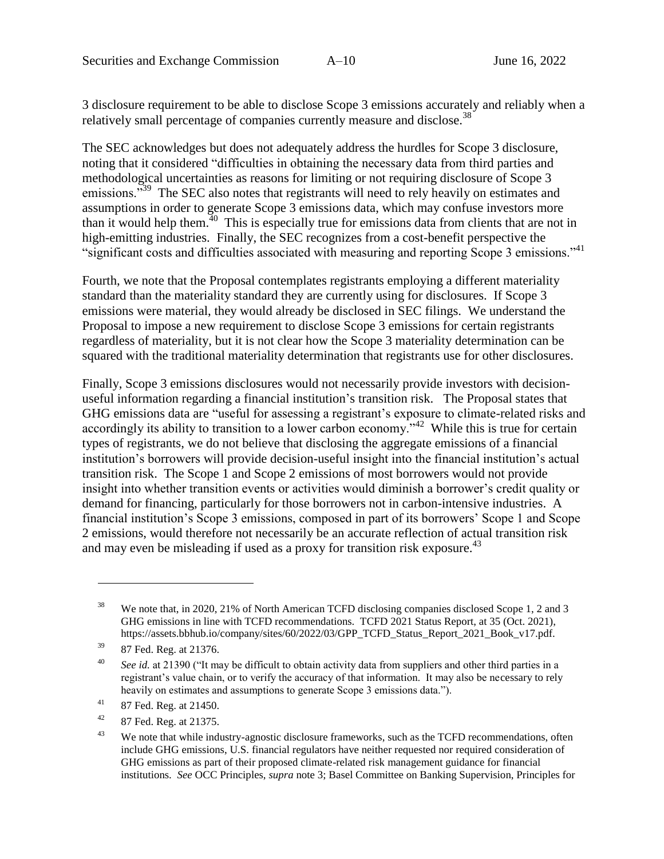3 disclosure requirement to be able to disclose Scope 3 emissions accurately and reliably when a relatively small percentage of companies currently measure and disclose.<sup>38</sup>

The SEC acknowledges but does not adequately address the hurdles for Scope 3 disclosure, noting that it considered "difficulties in obtaining the necessary data from third parties and methodological uncertainties as reasons for limiting or not requiring disclosure of Scope 3 emissions.<sup>"39</sup> The SEC also notes that registrants will need to rely heavily on estimates and assumptions in order to generate Scope 3 emissions data, which may confuse investors more than it would help them.<sup>40</sup> This is especially true for emissions data from clients that are not in high-emitting industries. Finally, the SEC recognizes from a cost-benefit perspective the "significant costs and difficulties associated with measuring and reporting Scope 3 emissions."<sup>41</sup>

Fourth, we note that the Proposal contemplates registrants employing a different materiality standard than the materiality standard they are currently using for disclosures. If Scope 3 emissions were material, they would already be disclosed in SEC filings. We understand the Proposal to impose a new requirement to disclose Scope 3 emissions for certain registrants regardless of materiality, but it is not clear how the Scope 3 materiality determination can be squared with the traditional materiality determination that registrants use for other disclosures.

Finally, Scope 3 emissions disclosures would not necessarily provide investors with decisionuseful information regarding a financial institution's transition risk. The Proposal states that GHG emissions data are "useful for assessing a registrant's exposure to climate-related risks and accordingly its ability to transition to a lower carbon economy.<sup> $342$ </sup> While this is true for certain types of registrants, we do not believe that disclosing the aggregate emissions of a financial institution's borrowers will provide decision-useful insight into the financial institution's actual transition risk. The Scope 1 and Scope 2 emissions of most borrowers would not provide insight into whether transition events or activities would diminish a borrower's credit quality or demand for financing, particularly for those borrowers not in carbon-intensive industries. A financial institution's Scope 3 emissions, composed in part of its borrowers' Scope 1 and Scope 2 emissions, would therefore not necessarily be an accurate reflection of actual transition risk and may even be misleading if used as a proxy for transition risk exposure.<sup>43</sup>

<sup>&</sup>lt;sup>38</sup> We note that, in 2020, 21% of North American TCFD disclosing companies disclosed Scope 1, 2 and 3 GHG emissions in line with TCFD recommendations. TCFD 2021 Status Report, at 35 (Oct. 2021), https://assets.bbhub.io/company/sites/60/2022/03/GPP\_TCFD\_Status\_Report\_2021\_Book\_v17.pdf.

<sup>39</sup> 87 Fed. Reg. at 21376.

<sup>40</sup> *See id.* at 21390 ("It may be difficult to obtain activity data from suppliers and other third parties in a registrant's value chain, or to verify the accuracy of that information. It may also be necessary to rely heavily on estimates and assumptions to generate Scope 3 emissions data.").

 $41$  87 Fed. Reg. at 21450.

 $42$  87 Fed. Reg. at 21375.

<sup>&</sup>lt;sup>43</sup> We note that while industry-agnostic disclosure frameworks, such as the TCFD recommendations, often include GHG emissions, U.S. financial regulators have neither requested nor required consideration of GHG emissions as part of their proposed climate-related risk management guidance for financial institutions. *See* OCC Principles, *supra* note [3;](#page-3-0) Basel Committee on Banking Supervision, Principles for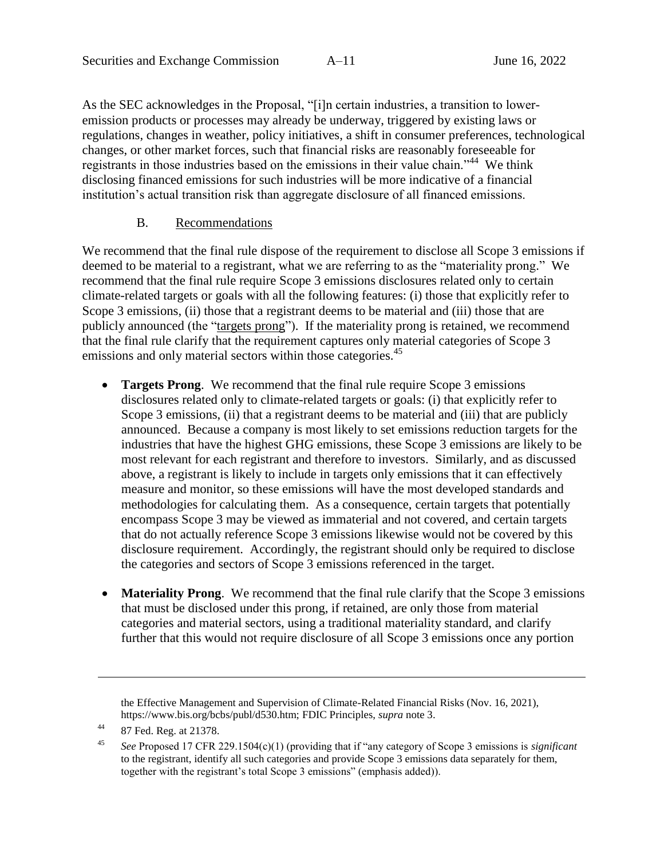As the SEC acknowledges in the Proposal, "[i]n certain industries, a transition to loweremission products or processes may already be underway, triggered by existing laws or regulations, changes in weather, policy initiatives, a shift in consumer preferences, technological changes, or other market forces, such that financial risks are reasonably foreseeable for registrants in those industries based on the emissions in their value chain."<sup>44</sup> We think disclosing financed emissions for such industries will be more indicative of a financial institution's actual transition risk than aggregate disclosure of all financed emissions.

# B. Recommendations

We recommend that the final rule dispose of the requirement to disclose all Scope 3 emissions if deemed to be material to a registrant, what we are referring to as the "materiality prong." We recommend that the final rule require Scope 3 emissions disclosures related only to certain climate-related targets or goals with all the following features: (i) those that explicitly refer to Scope 3 emissions, (ii) those that a registrant deems to be material and (iii) those that are publicly announced (the "targets prong"). If the materiality prong is retained, we recommend that the final rule clarify that the requirement captures only material categories of Scope 3 emissions and only material sectors within those categories.<sup>45</sup>

- **Targets Prong**. We recommend that the final rule require Scope 3 emissions disclosures related only to climate-related targets or goals: (i) that explicitly refer to Scope 3 emissions, (ii) that a registrant deems to be material and (iii) that are publicly announced. Because a company is most likely to set emissions reduction targets for the industries that have the highest GHG emissions, these Scope 3 emissions are likely to be most relevant for each registrant and therefore to investors. Similarly, and as discussed above, a registrant is likely to include in targets only emissions that it can effectively measure and monitor, so these emissions will have the most developed standards and methodologies for calculating them. As a consequence, certain targets that potentially encompass Scope 3 may be viewed as immaterial and not covered, and certain targets that do not actually reference Scope 3 emissions likewise would not be covered by this disclosure requirement. Accordingly, the registrant should only be required to disclose the categories and sectors of Scope 3 emissions referenced in the target.
- **Materiality Prong**. We recommend that the final rule clarify that the Scope 3 emissions that must be disclosed under this prong, if retained, are only those from material categories and material sectors, using a traditional materiality standard, and clarify further that this would not require disclosure of all Scope 3 emissions once any portion

the Effective Management and Supervision of Climate-Related Financial Risks (Nov. 16, 2021), https://www.bis.org/bcbs/publ/d530.htm; FDIC Principles, *supra* note [3.](#page-3-0)

<sup>44</sup> 87 Fed. Reg. at 21378.

<sup>45</sup> *See* Proposed 17 CFR 229.1504(c)(1) (providing that if "any category of Scope 3 emissions is *significant* to the registrant, identify all such categories and provide Scope 3 emissions data separately for them, together with the registrant's total Scope 3 emissions" (emphasis added)).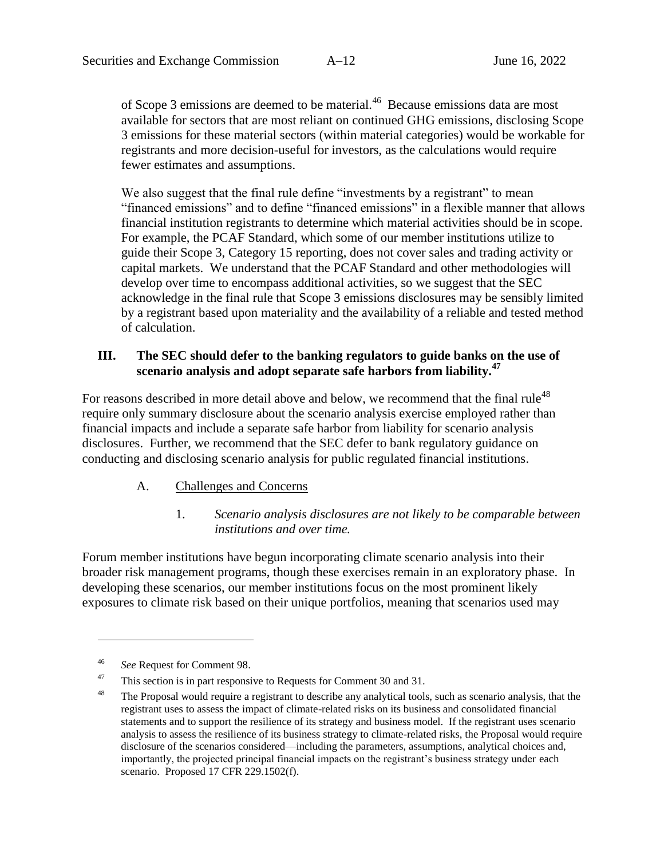of Scope 3 emissions are deemed to be material.<sup>46</sup> Because emissions data are most available for sectors that are most reliant on continued GHG emissions, disclosing Scope 3 emissions for these material sectors (within material categories) would be workable for registrants and more decision-useful for investors, as the calculations would require fewer estimates and assumptions.

We also suggest that the final rule define "investments by a registrant" to mean "financed emissions" and to define "financed emissions" in a flexible manner that allows financial institution registrants to determine which material activities should be in scope. For example, the PCAF Standard, which some of our member institutions utilize to guide their Scope 3, Category 15 reporting, does not cover sales and trading activity or capital markets. We understand that the PCAF Standard and other methodologies will develop over time to encompass additional activities, so we suggest that the SEC acknowledge in the final rule that Scope 3 emissions disclosures may be sensibly limited by a registrant based upon materiality and the availability of a reliable and tested method of calculation.

# **III. The SEC should defer to the banking regulators to guide banks on the use of scenario analysis and adopt separate safe harbors from liability.<sup>47</sup>**

For reasons described in more detail above and below, we recommend that the final rule<sup>48</sup> require only summary disclosure about the scenario analysis exercise employed rather than financial impacts and include a separate safe harbor from liability for scenario analysis disclosures. Further, we recommend that the SEC defer to bank regulatory guidance on conducting and disclosing scenario analysis for public regulated financial institutions.

### A. Challenges and Concerns

#### 1. *Scenario analysis disclosures are not likely to be comparable between institutions and over time.*

Forum member institutions have begun incorporating climate scenario analysis into their broader risk management programs, though these exercises remain in an exploratory phase. In developing these scenarios, our member institutions focus on the most prominent likely exposures to climate risk based on their unique portfolios, meaning that scenarios used may

<sup>46</sup> *See* Request for Comment 98.

<sup>&</sup>lt;sup>47</sup> This section is in part responsive to Requests for Comment 30 and 31.

<sup>&</sup>lt;sup>48</sup> The Proposal would require a registrant to describe any analytical tools, such as scenario analysis, that the registrant uses to assess the impact of climate-related risks on its business and consolidated financial statements and to support the resilience of its strategy and business model. If the registrant uses scenario analysis to assess the resilience of its business strategy to climate-related risks, the Proposal would require disclosure of the scenarios considered—including the parameters, assumptions, analytical choices and, importantly, the projected principal financial impacts on the registrant's business strategy under each scenario. Proposed 17 CFR 229.1502(f).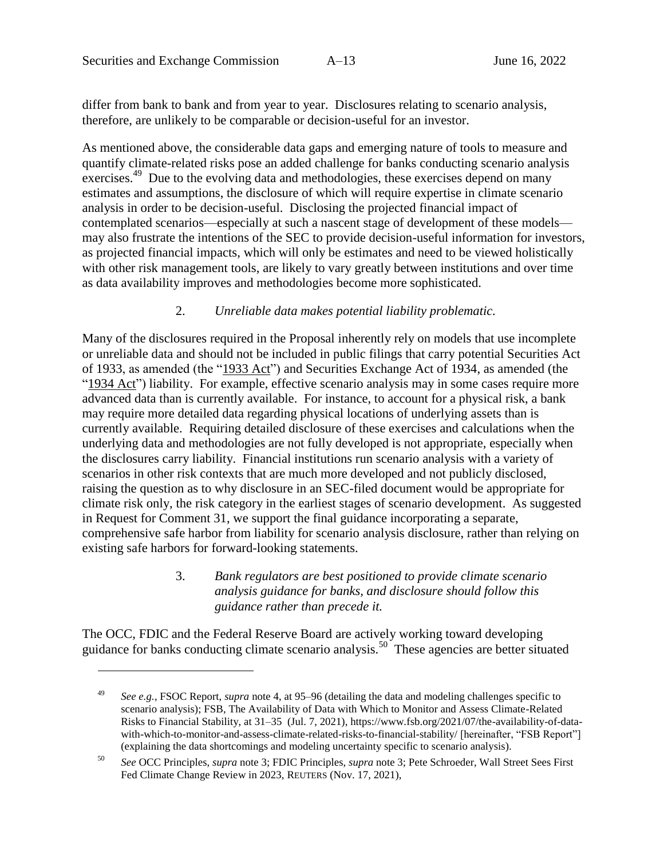differ from bank to bank and from year to year. Disclosures relating to scenario analysis, therefore, are unlikely to be comparable or decision-useful for an investor.

<span id="page-21-0"></span>As mentioned above, the considerable data gaps and emerging nature of tools to measure and quantify climate-related risks pose an added challenge for banks conducting scenario analysis exercises.<sup>49</sup> Due to the evolving data and methodologies, these exercises depend on many estimates and assumptions, the disclosure of which will require expertise in climate scenario analysis in order to be decision-useful. Disclosing the projected financial impact of contemplated scenarios—especially at such a nascent stage of development of these models may also frustrate the intentions of the SEC to provide decision-useful information for investors, as projected financial impacts, which will only be estimates and need to be viewed holistically with other risk management tools, are likely to vary greatly between institutions and over time as data availability improves and methodologies become more sophisticated.

#### 2. *Unreliable data makes potential liability problematic.*

Many of the disclosures required in the Proposal inherently rely on models that use incomplete or unreliable data and should not be included in public filings that carry potential Securities Act of 1933, as amended (the "1933 Act") and Securities Exchange Act of 1934, as amended (the "1934 Act") liability. For example, effective scenario analysis may in some cases require more advanced data than is currently available. For instance, to account for a physical risk, a bank may require more detailed data regarding physical locations of underlying assets than is currently available. Requiring detailed disclosure of these exercises and calculations when the underlying data and methodologies are not fully developed is not appropriate, especially when the disclosures carry liability. Financial institutions run scenario analysis with a variety of scenarios in other risk contexts that are much more developed and not publicly disclosed, raising the question as to why disclosure in an SEC-filed document would be appropriate for climate risk only, the risk category in the earliest stages of scenario development. As suggested in Request for Comment 31, we support the final guidance incorporating a separate, comprehensive safe harbor from liability for scenario analysis disclosure, rather than relying on existing safe harbors for forward-looking statements.

> 3. *Bank regulators are best positioned to provide climate scenario analysis guidance for banks, and disclosure should follow this guidance rather than precede it.*

The OCC, FDIC and the Federal Reserve Board are actively working toward developing guidance for banks conducting climate scenario analysis.<sup>50</sup> These agencies are better situated

<sup>49</sup> *See e.g.*, FSOC Report, *supra* note [4,](#page-4-0) at 95–96 (detailing the data and modeling challenges specific to scenario analysis); FSB, The Availability of Data with Which to Monitor and Assess Climate-Related Risks to Financial Stability, at 31–35 (Jul. 7, 2021), https://www.fsb.org/2021/07/the-availability-of-datawith-which-to-monitor-and-assess-climate-related-risks-to-financial-stability/ [hereinafter, "FSB Report"] (explaining the data shortcomings and modeling uncertainty specific to scenario analysis).

<sup>50</sup> *See* OCC Principles, *supra* note [3;](#page-3-0) FDIC Principles, *supra* not[e 3;](#page-3-0) Pete Schroeder, Wall Street Sees First Fed Climate Change Review in 2023, REUTERS (Nov. 17, 2021),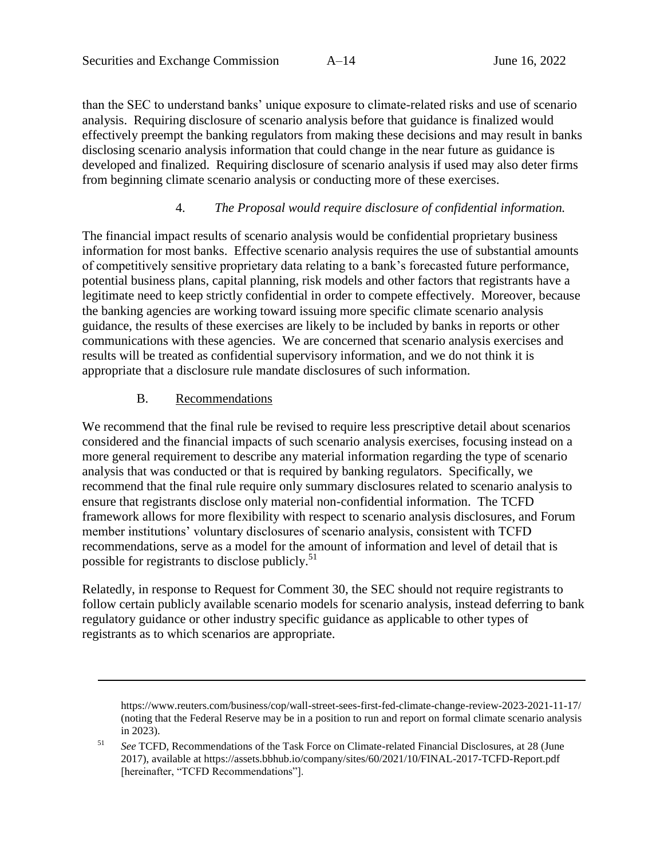than the SEC to understand banks' unique exposure to climate-related risks and use of scenario analysis. Requiring disclosure of scenario analysis before that guidance is finalized would effectively preempt the banking regulators from making these decisions and may result in banks disclosing scenario analysis information that could change in the near future as guidance is developed and finalized. Requiring disclosure of scenario analysis if used may also deter firms from beginning climate scenario analysis or conducting more of these exercises.

### 4. *The Proposal would require disclosure of confidential information.*

The financial impact results of scenario analysis would be confidential proprietary business information for most banks. Effective scenario analysis requires the use of substantial amounts of competitively sensitive proprietary data relating to a bank's forecasted future performance, potential business plans, capital planning, risk models and other factors that registrants have a legitimate need to keep strictly confidential in order to compete effectively. Moreover, because the banking agencies are working toward issuing more specific climate scenario analysis guidance, the results of these exercises are likely to be included by banks in reports or other communications with these agencies. We are concerned that scenario analysis exercises and results will be treated as confidential supervisory information, and we do not think it is appropriate that a disclosure rule mandate disclosures of such information.

#### B. Recommendations

 $\overline{a}$ 

We recommend that the final rule be revised to require less prescriptive detail about scenarios considered and the financial impacts of such scenario analysis exercises, focusing instead on a more general requirement to describe any material information regarding the type of scenario analysis that was conducted or that is required by banking regulators. Specifically, we recommend that the final rule require only summary disclosures related to scenario analysis to ensure that registrants disclose only material non-confidential information. The TCFD framework allows for more flexibility with respect to scenario analysis disclosures, and Forum member institutions' voluntary disclosures of scenario analysis, consistent with TCFD recommendations, serve as a model for the amount of information and level of detail that is possible for registrants to disclose publicly.<sup>51</sup>

Relatedly, in response to Request for Comment 30, the SEC should not require registrants to follow certain publicly available scenario models for scenario analysis, instead deferring to bank regulatory guidance or other industry specific guidance as applicable to other types of registrants as to which scenarios are appropriate.

https://www.reuters.com/business/cop/wall-street-sees-first-fed-climate-change-review-2023-2021-11-17/ (noting that the Federal Reserve may be in a position to run and report on formal climate scenario analysis in 2023).

<sup>51</sup> *See* TCFD, Recommendations of the Task Force on Climate-related Financial Disclosures, at 28 (June 2017), available at https://assets.bbhub.io/company/sites/60/2021/10/FINAL-2017-TCFD-Report.pdf [hereinafter, "TCFD Recommendations"].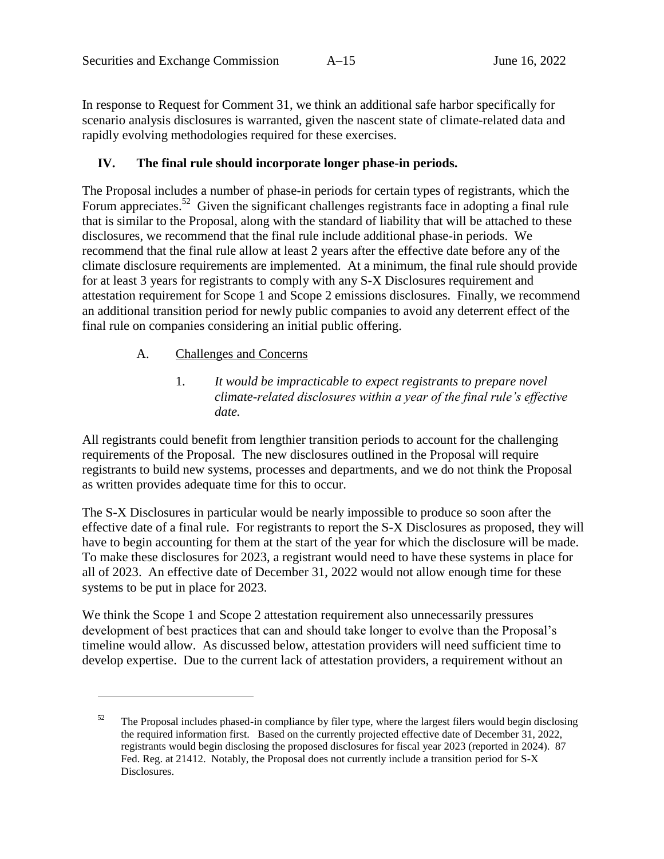In response to Request for Comment 31, we think an additional safe harbor specifically for scenario analysis disclosures is warranted, given the nascent state of climate-related data and rapidly evolving methodologies required for these exercises.

### <span id="page-23-0"></span>**IV. The final rule should incorporate longer phase-in periods.**

The Proposal includes a number of phase-in periods for certain types of registrants, which the Forum appreciates.<sup>52</sup> Given the significant challenges registrants face in adopting a final rule that is similar to the Proposal, along with the standard of liability that will be attached to these disclosures, we recommend that the final rule include additional phase-in periods. We recommend that the final rule allow at least 2 years after the effective date before any of the climate disclosure requirements are implemented. At a minimum, the final rule should provide for at least 3 years for registrants to comply with any S-X Disclosures requirement and attestation requirement for Scope 1 and Scope 2 emissions disclosures. Finally, we recommend an additional transition period for newly public companies to avoid any deterrent effect of the final rule on companies considering an initial public offering.

#### A. Challenges and Concerns

 $\overline{a}$ 

1. *It would be impracticable to expect registrants to prepare novel climate-related disclosures within a year of the final rule's effective date.* 

All registrants could benefit from lengthier transition periods to account for the challenging requirements of the Proposal. The new disclosures outlined in the Proposal will require registrants to build new systems, processes and departments, and we do not think the Proposal as written provides adequate time for this to occur.

The S-X Disclosures in particular would be nearly impossible to produce so soon after the effective date of a final rule. For registrants to report the S-X Disclosures as proposed, they will have to begin accounting for them at the start of the year for which the disclosure will be made. To make these disclosures for 2023, a registrant would need to have these systems in place for all of 2023. An effective date of December 31, 2022 would not allow enough time for these systems to be put in place for 2023.

We think the Scope 1 and Scope 2 attestation requirement also unnecessarily pressures development of best practices that can and should take longer to evolve than the Proposal's timeline would allow. As discussed below, attestation providers will need sufficient time to develop expertise. Due to the current lack of attestation providers, a requirement without an

 $52$  The Proposal includes phased-in compliance by filer type, where the largest filers would begin disclosing the required information first. Based on the currently projected effective date of December 31, 2022, registrants would begin disclosing the proposed disclosures for fiscal year 2023 (reported in 2024). 87 Fed. Reg. at 21412. Notably, the Proposal does not currently include a transition period for S-X Disclosures.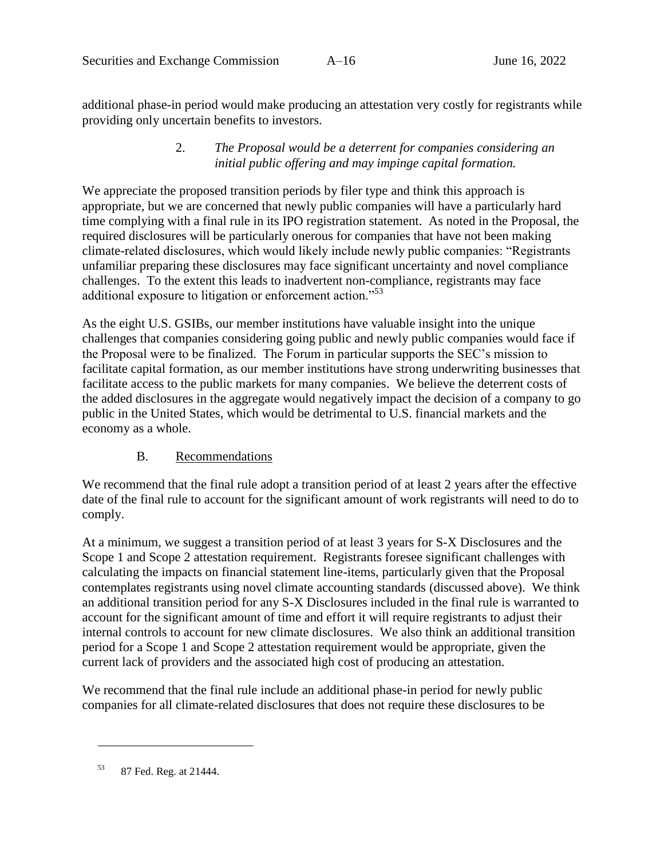additional phase-in period would make producing an attestation very costly for registrants while providing only uncertain benefits to investors.

### 2. *The Proposal would be a deterrent for companies considering an initial public offering and may impinge capital formation.*

We appreciate the proposed transition periods by filer type and think this approach is appropriate, but we are concerned that newly public companies will have a particularly hard time complying with a final rule in its IPO registration statement. As noted in the Proposal, the required disclosures will be particularly onerous for companies that have not been making climate-related disclosures, which would likely include newly public companies: "Registrants unfamiliar preparing these disclosures may face significant uncertainty and novel compliance challenges. To the extent this leads to inadvertent non-compliance, registrants may face additional exposure to litigation or enforcement action."<sup>53</sup>

As the eight U.S. GSIBs, our member institutions have valuable insight into the unique challenges that companies considering going public and newly public companies would face if the Proposal were to be finalized. The Forum in particular supports the SEC's mission to facilitate capital formation, as our member institutions have strong underwriting businesses that facilitate access to the public markets for many companies. We believe the deterrent costs of the added disclosures in the aggregate would negatively impact the decision of a company to go public in the United States, which would be detrimental to U.S. financial markets and the economy as a whole.

### B. Recommendations

We recommend that the final rule adopt a transition period of at least 2 years after the effective date of the final rule to account for the significant amount of work registrants will need to do to comply.

At a minimum, we suggest a transition period of at least 3 years for S-X Disclosures and the Scope 1 and Scope 2 attestation requirement. Registrants foresee significant challenges with calculating the impacts on financial statement line-items, particularly given that the Proposal contemplates registrants using novel climate accounting standards (discussed above). We think an additional transition period for any S-X Disclosures included in the final rule is warranted to account for the significant amount of time and effort it will require registrants to adjust their internal controls to account for new climate disclosures. We also think an additional transition period for a Scope 1 and Scope 2 attestation requirement would be appropriate, given the current lack of providers and the associated high cost of producing an attestation.

We recommend that the final rule include an additional phase-in period for newly public companies for all climate-related disclosures that does not require these disclosures to be

<sup>53</sup> 87 Fed. Reg. at 21444.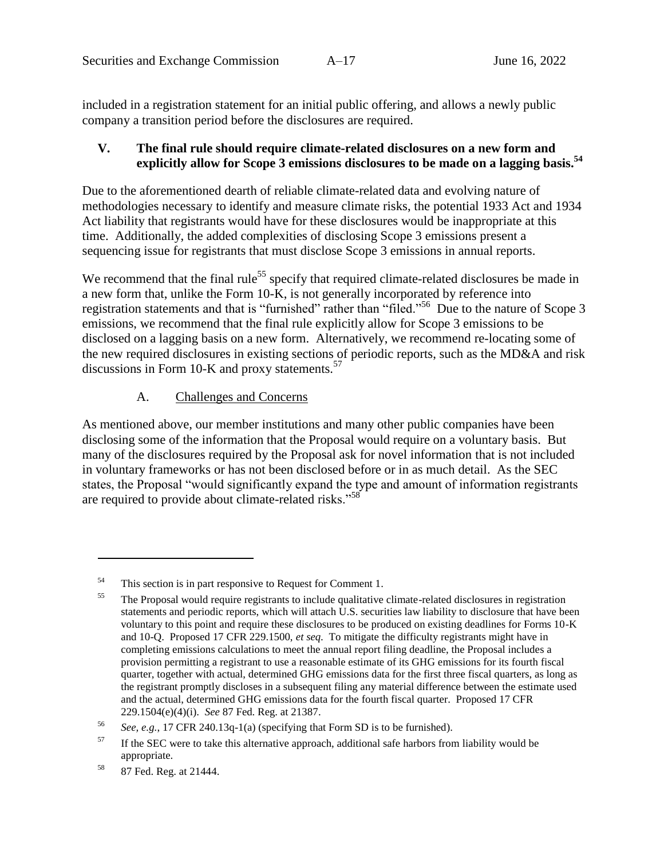included in a registration statement for an initial public offering, and allows a newly public company a transition period before the disclosures are required.

### <span id="page-25-0"></span>**V. The final rule should require climate-related disclosures on a new form and explicitly allow for Scope 3 emissions disclosures to be made on a lagging basis. 54**

Due to the aforementioned dearth of reliable climate-related data and evolving nature of methodologies necessary to identify and measure climate risks, the potential 1933 Act and 1934 Act liability that registrants would have for these disclosures would be inappropriate at this time. Additionally, the added complexities of disclosing Scope 3 emissions present a sequencing issue for registrants that must disclose Scope 3 emissions in annual reports.

We recommend that the final rule<sup>55</sup> specify that required climate-related disclosures be made in a new form that, unlike the Form 10-K, is not generally incorporated by reference into registration statements and that is "furnished" rather than "filed."<sup>56</sup> Due to the nature of Scope 3 emissions, we recommend that the final rule explicitly allow for Scope 3 emissions to be disclosed on a lagging basis on a new form. Alternatively, we recommend re-locating some of the new required disclosures in existing sections of periodic reports, such as the MD&A and risk discussions in Form 10-K and proxy statements.<sup>57</sup>

### A. Challenges and Concerns

As mentioned above, our member institutions and many other public companies have been disclosing some of the information that the Proposal would require on a voluntary basis. But many of the disclosures required by the Proposal ask for novel information that is not included in voluntary frameworks or has not been disclosed before or in as much detail. As the SEC states, the Proposal "would significantly expand the type and amount of information registrants are required to provide about climate-related risks."<sup>58</sup>

<sup>54</sup> This section is in part responsive to Request for Comment 1.

<sup>&</sup>lt;sup>55</sup> The Proposal would require registrants to include qualitative climate-related disclosures in registration statements and periodic reports, which will attach U.S. securities law liability to disclosure that have been voluntary to this point and require these disclosures to be produced on existing deadlines for Forms 10-K and 10-Q. Proposed 17 CFR 229.1500, *et seq.* To mitigate the difficulty registrants might have in completing emissions calculations to meet the annual report filing deadline, the Proposal includes a provision permitting a registrant to use a reasonable estimate of its GHG emissions for its fourth fiscal quarter, together with actual, determined GHG emissions data for the first three fiscal quarters, as long as the registrant promptly discloses in a subsequent filing any material difference between the estimate used and the actual, determined GHG emissions data for the fourth fiscal quarter. Proposed 17 CFR 229.1504(e)(4)(i). *See* 87 Fed. Reg. at 21387.

<sup>56</sup> *See, e.g.*, 17 CFR 240.13q-1(a) (specifying that Form SD is to be furnished).

 $57$  If the SEC were to take this alternative approach, additional safe harbors from liability would be appropriate.

<sup>58</sup> 87 Fed. Reg. at 21444.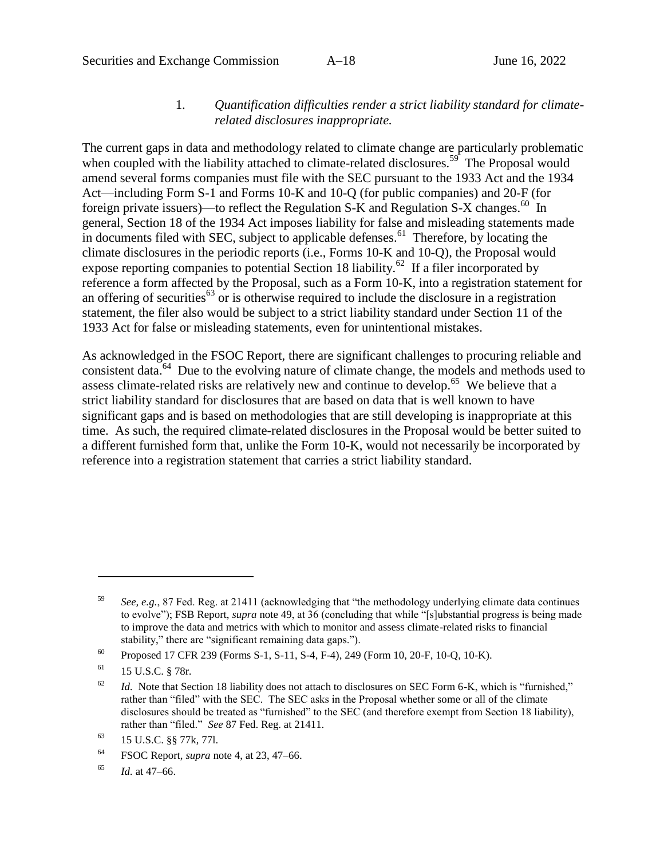### 1. *Quantification difficulties render a strict liability standard for climaterelated disclosures inappropriate.*

The current gaps in data and methodology related to climate change are particularly problematic when coupled with the liability attached to climate-related disclosures.<sup>59</sup> The Proposal would amend several forms companies must file with the SEC pursuant to the 1933 Act and the 1934 Act—including Form S-1 and Forms 10-K and 10-Q (for public companies) and 20-F (for foreign private issuers)—to reflect the Regulation S-K and Regulation S-X changes.<sup>60</sup> In general, Section 18 of the 1934 Act imposes liability for false and misleading statements made in documents filed with SEC, subject to applicable defenses.<sup>61</sup> Therefore, by locating the climate disclosures in the periodic reports (i.e., Forms 10-K and 10-Q), the Proposal would expose reporting companies to potential Section 18 liability.<sup>62</sup> If a filer incorporated by reference a form affected by the Proposal, such as a Form 10-K, into a registration statement for an offering of securities<sup>63</sup> or is otherwise required to include the disclosure in a registration statement, the filer also would be subject to a strict liability standard under Section 11 of the 1933 Act for false or misleading statements, even for unintentional mistakes.

As acknowledged in the FSOC Report, there are significant challenges to procuring reliable and consistent data.<sup>64</sup> Due to the evolving nature of climate change, the models and methods used to assess climate-related risks are relatively new and continue to develop.<sup>65</sup> We believe that a strict liability standard for disclosures that are based on data that is well known to have significant gaps and is based on methodologies that are still developing is inappropriate at this time. As such, the required climate-related disclosures in the Proposal would be better suited to a different furnished form that, unlike the Form 10-K, would not necessarily be incorporated by reference into a registration statement that carries a strict liability standard.

<sup>59</sup> *See, e.g.*, 87 Fed. Reg. at 21411 (acknowledging that "the methodology underlying climate data continues to evolve"); FSB Report, *supra* note [49,](#page-21-0) at 36 (concluding that while "[s]ubstantial progress is being made to improve the data and metrics with which to monitor and assess climate-related risks to financial stability," there are "significant remaining data gaps.").

<sup>60</sup> Proposed 17 CFR 239 (Forms S-1, S-11, S-4, F-4), 249 (Form 10, 20-F, 10-Q, 10-K).

<sup>61</sup> 15 U.S.C. § 78r*.*

 $\frac{62}{10}$  *Id.* Note that Section 18 liability does not attach to disclosures on SEC Form 6-K, which is "furnished," rather than "filed" with the SEC. The SEC asks in the Proposal whether some or all of the climate disclosures should be treated as "furnished" to the SEC (and therefore exempt from Section 18 liability), rather than "filed." *See* 87 Fed. Reg. at 21411.

<sup>63</sup> 15 U.S.C. §§ 77k, 77l.

<sup>64</sup> FSOC Report, *supra* note [4,](#page-4-0) at 23, 47–66.

<sup>65</sup> *Id.* at 47–66.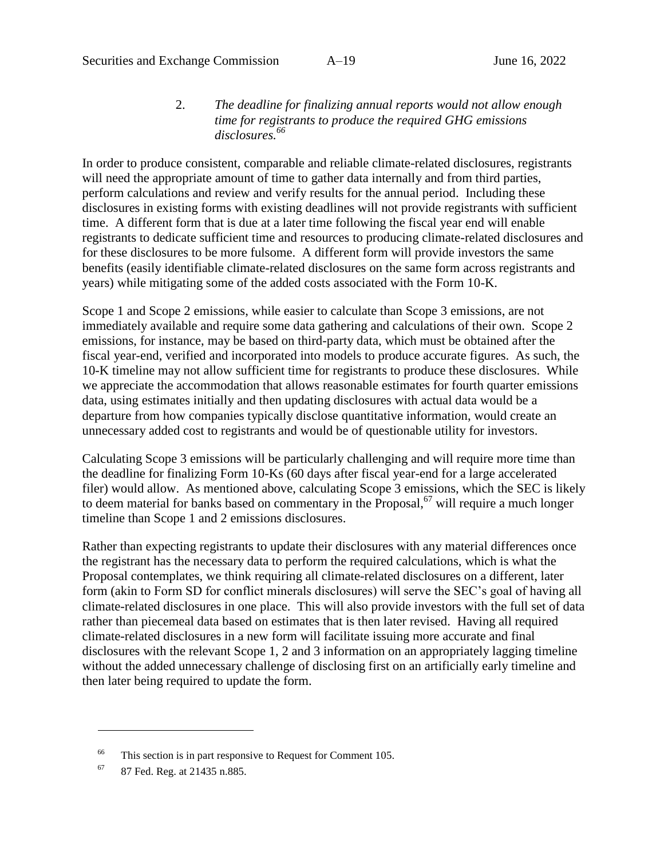#### 2. *The deadline for finalizing annual reports would not allow enough time for registrants to produce the required GHG emissions disclosures.<sup>66</sup>*

In order to produce consistent, comparable and reliable climate-related disclosures, registrants will need the appropriate amount of time to gather data internally and from third parties, perform calculations and review and verify results for the annual period. Including these disclosures in existing forms with existing deadlines will not provide registrants with sufficient time. A different form that is due at a later time following the fiscal year end will enable registrants to dedicate sufficient time and resources to producing climate-related disclosures and for these disclosures to be more fulsome. A different form will provide investors the same benefits (easily identifiable climate-related disclosures on the same form across registrants and years) while mitigating some of the added costs associated with the Form 10-K.

Scope 1 and Scope 2 emissions, while easier to calculate than Scope 3 emissions, are not immediately available and require some data gathering and calculations of their own. Scope 2 emissions, for instance, may be based on third-party data, which must be obtained after the fiscal year-end, verified and incorporated into models to produce accurate figures. As such, the 10-K timeline may not allow sufficient time for registrants to produce these disclosures. While we appreciate the accommodation that allows reasonable estimates for fourth quarter emissions data, using estimates initially and then updating disclosures with actual data would be a departure from how companies typically disclose quantitative information, would create an unnecessary added cost to registrants and would be of questionable utility for investors.

Calculating Scope 3 emissions will be particularly challenging and will require more time than the deadline for finalizing Form 10-Ks (60 days after fiscal year-end for a large accelerated filer) would allow. As mentioned above, calculating Scope 3 emissions, which the SEC is likely to deem material for banks based on commentary in the Proposal,<sup>67</sup> will require a much longer timeline than Scope 1 and 2 emissions disclosures.

Rather than expecting registrants to update their disclosures with any material differences once the registrant has the necessary data to perform the required calculations, which is what the Proposal contemplates, we think requiring all climate-related disclosures on a different, later form (akin to Form SD for conflict minerals disclosures) will serve the SEC's goal of having all climate-related disclosures in one place. This will also provide investors with the full set of data rather than piecemeal data based on estimates that is then later revised. Having all required climate-related disclosures in a new form will facilitate issuing more accurate and final disclosures with the relevant Scope 1, 2 and 3 information on an appropriately lagging timeline without the added unnecessary challenge of disclosing first on an artificially early timeline and then later being required to update the form.

<sup>&</sup>lt;sup>66</sup> This section is in part responsive to Request for Comment 105.

<sup>67</sup> 87 Fed. Reg. at 21435 n.885.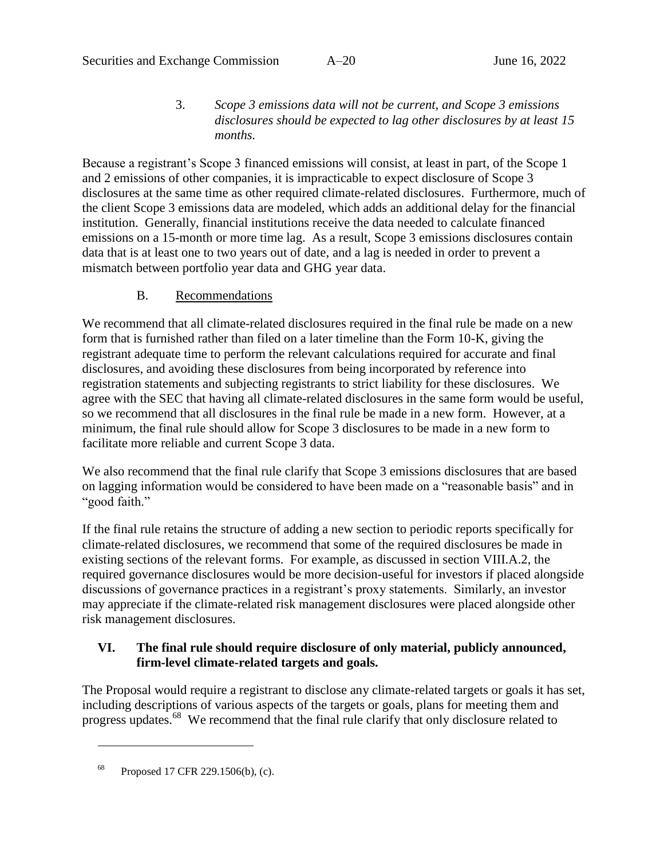3. *Scope 3 emissions data will not be current, and Scope 3 emissions disclosures should be expected to lag other disclosures by at least 15 months.* 

Because a registrant's Scope 3 financed emissions will consist, at least in part, of the Scope 1 and 2 emissions of other companies, it is impracticable to expect disclosure of Scope 3 disclosures at the same time as other required climate-related disclosures. Furthermore, much of the client Scope 3 emissions data are modeled, which adds an additional delay for the financial institution. Generally, financial institutions receive the data needed to calculate financed emissions on a 15-month or more time lag. As a result, Scope 3 emissions disclosures contain data that is at least one to two years out of date, and a lag is needed in order to prevent a mismatch between portfolio year data and GHG year data.

### B. Recommendations

We recommend that all climate-related disclosures required in the final rule be made on a new form that is furnished rather than filed on a later timeline than the Form 10-K, giving the registrant adequate time to perform the relevant calculations required for accurate and final disclosures, and avoiding these disclosures from being incorporated by reference into registration statements and subjecting registrants to strict liability for these disclosures. We agree with the SEC that having all climate-related disclosures in the same form would be useful, so we recommend that all disclosures in the final rule be made in a new form. However, at a minimum, the final rule should allow for Scope 3 disclosures to be made in a new form to facilitate more reliable and current Scope 3 data.

We also recommend that the final rule clarify that Scope 3 emissions disclosures that are based on lagging information would be considered to have been made on a "reasonable basis" and in "good faith."

If the final rule retains the structure of adding a new section to periodic reports specifically for climate-related disclosures, we recommend that some of the required disclosures be made in existing sections of the relevant forms. For example, as discussed in section [VIII.A.2,](#page-34-0) the required governance disclosures would be more decision-useful for investors if placed alongside discussions of governance practices in a registrant's proxy statements. Similarly, an investor may appreciate if the climate-related risk management disclosures were placed alongside other risk management disclosures.

# **VI. The final rule should require disclosure of only material, publicly announced, firm-level climate-related targets and goals.**

The Proposal would require a registrant to disclose any climate-related targets or goals it has set, including descriptions of various aspects of the targets or goals, plans for meeting them and progress updates.<sup>68</sup> We recommend that the final rule clarify that only disclosure related to

<sup>68</sup> Proposed 17 CFR 229.1506(b), (c).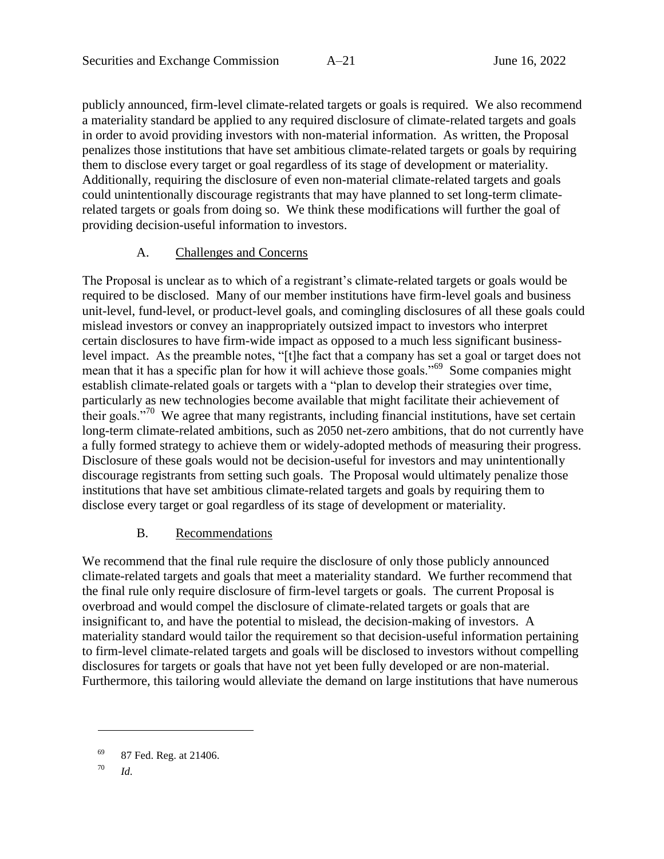publicly announced, firm-level climate-related targets or goals is required. We also recommend a materiality standard be applied to any required disclosure of climate-related targets and goals in order to avoid providing investors with non-material information. As written, the Proposal penalizes those institutions that have set ambitious climate-related targets or goals by requiring them to disclose every target or goal regardless of its stage of development or materiality. Additionally, requiring the disclosure of even non-material climate-related targets and goals could unintentionally discourage registrants that may have planned to set long-term climaterelated targets or goals from doing so. We think these modifications will further the goal of providing decision-useful information to investors.

#### A. Challenges and Concerns

The Proposal is unclear as to which of a registrant's climate-related targets or goals would be required to be disclosed. Many of our member institutions have firm-level goals and business unit-level, fund-level, or product-level goals, and comingling disclosures of all these goals could mislead investors or convey an inappropriately outsized impact to investors who interpret certain disclosures to have firm-wide impact as opposed to a much less significant businesslevel impact. As the preamble notes, "[t]he fact that a company has set a goal or target does not mean that it has a specific plan for how it will achieve those goals."<sup>69</sup> Some companies might establish climate-related goals or targets with a "plan to develop their strategies over time, particularly as new technologies become available that might facilitate their achievement of their goals."<sup>70</sup> We agree that many registrants, including financial institutions, have set certain long-term climate-related ambitions, such as 2050 net-zero ambitions, that do not currently have a fully formed strategy to achieve them or widely-adopted methods of measuring their progress. Disclosure of these goals would not be decision-useful for investors and may unintentionally discourage registrants from setting such goals. The Proposal would ultimately penalize those institutions that have set ambitious climate-related targets and goals by requiring them to disclose every target or goal regardless of its stage of development or materiality.

### B. Recommendations

We recommend that the final rule require the disclosure of only those publicly announced climate-related targets and goals that meet a materiality standard. We further recommend that the final rule only require disclosure of firm-level targets or goals. The current Proposal is overbroad and would compel the disclosure of climate-related targets or goals that are insignificant to, and have the potential to mislead, the decision-making of investors. A materiality standard would tailor the requirement so that decision-useful information pertaining to firm-level climate-related targets and goals will be disclosed to investors without compelling disclosures for targets or goals that have not yet been fully developed or are non-material. Furthermore, this tailoring would alleviate the demand on large institutions that have numerous

 $69$  87 Fed. Reg. at 21406.

<sup>70</sup> *Id.*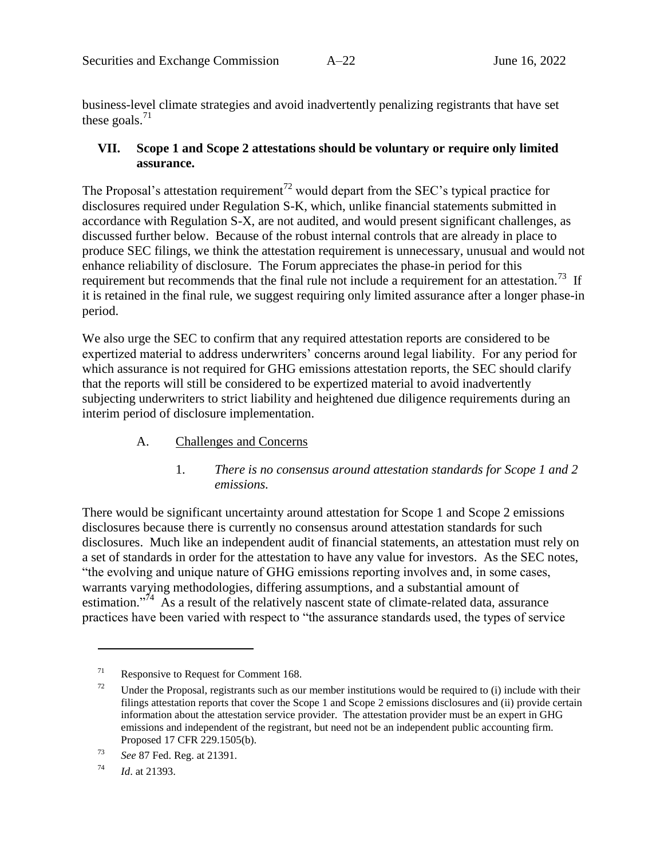business-level climate strategies and avoid inadvertently penalizing registrants that have set these goals. $^{71}$ 

### **VII. Scope 1 and Scope 2 attestations should be voluntary or require only limited assurance.**

The Proposal's attestation requirement<sup>72</sup> would depart from the SEC's typical practice for disclosures required under Regulation S-K, which, unlike financial statements submitted in accordance with Regulation S-X, are not audited, and would present significant challenges, as discussed further below. Because of the robust internal controls that are already in place to produce SEC filings, we think the attestation requirement is unnecessary, unusual and would not enhance reliability of disclosure. The Forum appreciates the phase-in period for this requirement but recommends that the final rule not include a requirement for an attestation.<sup>73</sup> If it is retained in the final rule, we suggest requiring only limited assurance after a longer phase-in period.

We also urge the SEC to confirm that any required attestation reports are considered to be expertized material to address underwriters' concerns around legal liability. For any period for which assurance is not required for GHG emissions attestation reports, the SEC should clarify that the reports will still be considered to be expertized material to avoid inadvertently subjecting underwriters to strict liability and heightened due diligence requirements during an interim period of disclosure implementation.

- A. Challenges and Concerns
	- 1. *There is no consensus around attestation standards for Scope 1 and 2 emissions.*

There would be significant uncertainty around attestation for Scope 1 and Scope 2 emissions disclosures because there is currently no consensus around attestation standards for such disclosures. Much like an independent audit of financial statements, an attestation must rely on a set of standards in order for the attestation to have any value for investors. As the SEC notes, "the evolving and unique nature of GHG emissions reporting involves and, in some cases, warrants varying methodologies, differing assumptions, and a substantial amount of estimation."<sup>74</sup> As a result of the relatively nascent state of climate-related data, assurance practices have been varied with respect to "the assurance standards used, the types of service

 $71$  Responsive to Request for Comment 168.

 $72$  Under the Proposal, registrants such as our member institutions would be required to (i) include with their filings attestation reports that cover the Scope 1 and Scope 2 emissions disclosures and (ii) provide certain information about the attestation service provider. The attestation provider must be an expert in GHG emissions and independent of the registrant, but need not be an independent public accounting firm. Proposed 17 CFR 229.1505(b).

<sup>73</sup> *See* 87 Fed. Reg. at 21391.

<sup>74</sup> *Id*. at 21393.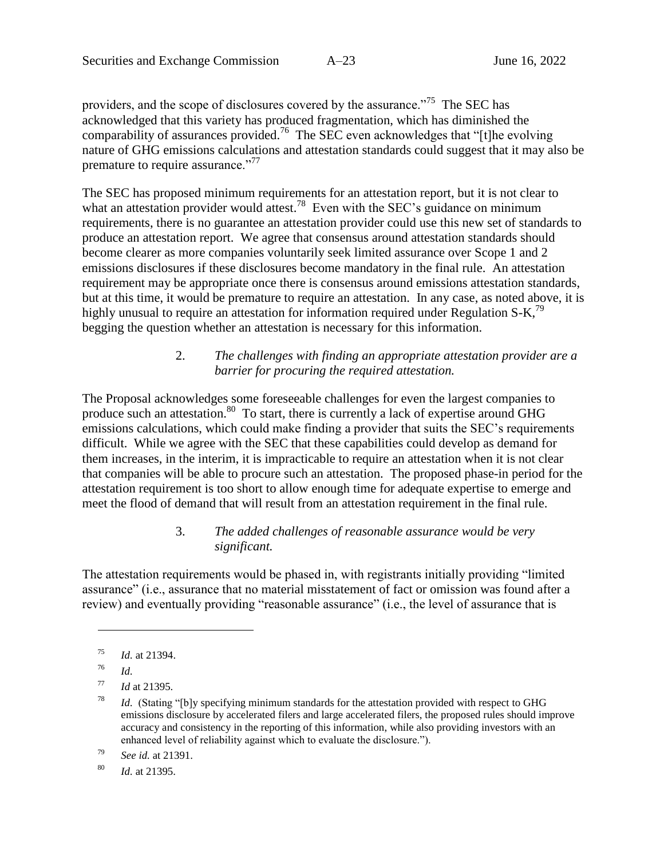providers, and the scope of disclosures covered by the assurance."<sup>75</sup> The SEC has acknowledged that this variety has produced fragmentation, which has diminished the comparability of assurances provided.<sup>76</sup> The SEC even acknowledges that "[t]he evolving nature of GHG emissions calculations and attestation standards could suggest that it may also be premature to require assurance."<sup>77</sup>

The SEC has proposed minimum requirements for an attestation report, but it is not clear to what an attestation provider would attest.<sup>78</sup> Even with the SEC's guidance on minimum requirements, there is no guarantee an attestation provider could use this new set of standards to produce an attestation report. We agree that consensus around attestation standards should become clearer as more companies voluntarily seek limited assurance over Scope 1 and 2 emissions disclosures if these disclosures become mandatory in the final rule. An attestation requirement may be appropriate once there is consensus around emissions attestation standards, but at this time, it would be premature to require an attestation. In any case, as noted above, it is highly unusual to require an attestation for information required under Regulation S-K,<sup>79</sup> begging the question whether an attestation is necessary for this information.

# 2. *The challenges with finding an appropriate attestation provider are a barrier for procuring the required attestation.*

The Proposal acknowledges some foreseeable challenges for even the largest companies to produce such an attestation.<sup>80</sup> To start, there is currently a lack of expertise around GHG emissions calculations, which could make finding a provider that suits the SEC's requirements difficult. While we agree with the SEC that these capabilities could develop as demand for them increases, in the interim, it is impracticable to require an attestation when it is not clear that companies will be able to procure such an attestation. The proposed phase-in period for the attestation requirement is too short to allow enough time for adequate expertise to emerge and meet the flood of demand that will result from an attestation requirement in the final rule.

### 3. *The added challenges of reasonable assurance would be very significant.*

The attestation requirements would be phased in, with registrants initially providing "limited assurance" (i.e., assurance that no material misstatement of fact or omission was found after a review) and eventually providing "reasonable assurance" (i.e., the level of assurance that is

<sup>75</sup> *Id.* at 21394.

<sup>76</sup> *Id.*

<sup>77</sup> *Id* at 21395.

<sup>&</sup>lt;sup>78</sup> *Id.* (Stating "[b]y specifying minimum standards for the attestation provided with respect to GHG emissions disclosure by accelerated filers and large accelerated filers, the proposed rules should improve accuracy and consistency in the reporting of this information, while also providing investors with an enhanced level of reliability against which to evaluate the disclosure.").

<sup>79</sup> *See id.* at 21391.

<sup>80</sup> *Id.* at 21395.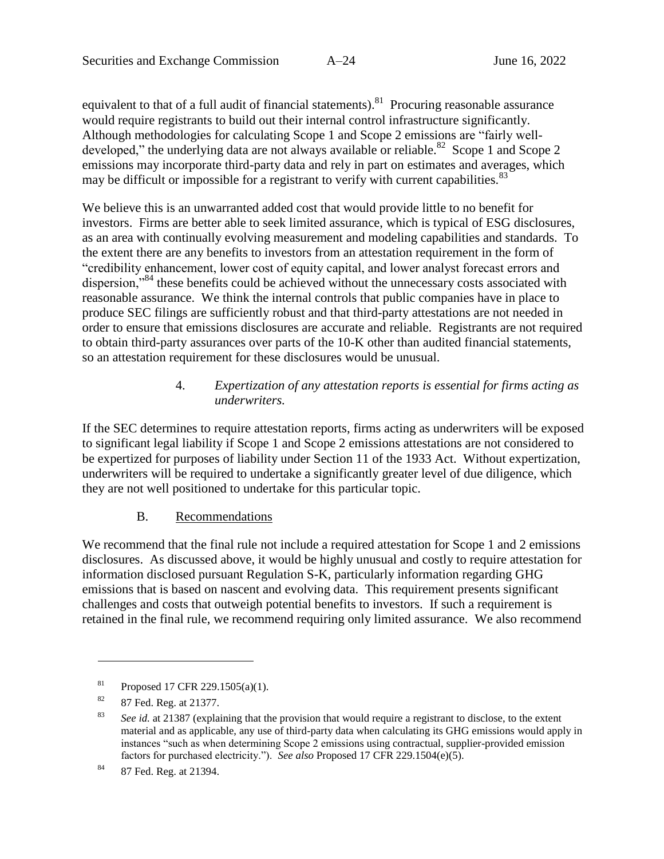equivalent to that of a full audit of financial statements). <sup>81</sup> Procuring reasonable assurance would require registrants to build out their internal control infrastructure significantly. Although methodologies for calculating Scope 1 and Scope 2 emissions are "fairly welldeveloped," the underlying data are not always available or reliable.<sup>82</sup> Scope 1 and Scope 2 emissions may incorporate third-party data and rely in part on estimates and averages, which may be difficult or impossible for a registrant to verify with current capabilities.<sup>83</sup>

We believe this is an unwarranted added cost that would provide little to no benefit for investors. Firms are better able to seek limited assurance, which is typical of ESG disclosures, as an area with continually evolving measurement and modeling capabilities and standards. To the extent there are any benefits to investors from an attestation requirement in the form of "credibility enhancement, lower cost of equity capital, and lower analyst forecast errors and dispersion,<sup>384</sup> these benefits could be achieved without the unnecessary costs associated with reasonable assurance. We think the internal controls that public companies have in place to produce SEC filings are sufficiently robust and that third-party attestations are not needed in order to ensure that emissions disclosures are accurate and reliable. Registrants are not required to obtain third-party assurances over parts of the 10-K other than audited financial statements, so an attestation requirement for these disclosures would be unusual.

### 4. *Expertization of any attestation reports is essential for firms acting as underwriters.*

If the SEC determines to require attestation reports, firms acting as underwriters will be exposed to significant legal liability if Scope 1 and Scope 2 emissions attestations are not considered to be expertized for purposes of liability under Section 11 of the 1933 Act. Without expertization, underwriters will be required to undertake a significantly greater level of due diligence, which they are not well positioned to undertake for this particular topic.

### B. Recommendations

We recommend that the final rule not include a required attestation for Scope 1 and 2 emissions disclosures. As discussed above, it would be highly unusual and costly to require attestation for information disclosed pursuant Regulation S-K, particularly information regarding GHG emissions that is based on nascent and evolving data. This requirement presents significant challenges and costs that outweigh potential benefits to investors. If such a requirement is retained in the final rule, we recommend requiring only limited assurance. We also recommend

<sup>&</sup>lt;sup>81</sup> Proposed 17 CFR 229.1505(a)(1).

<sup>82</sup> 87 Fed. Reg. at 21377.

<sup>83</sup> *See id.* at 21387 (explaining that the provision that would require a registrant to disclose, to the extent material and as applicable, any use of third-party data when calculating its GHG emissions would apply in instances "such as when determining Scope 2 emissions using contractual, supplier-provided emission factors for purchased electricity."). *See also* Proposed 17 CFR 229.1504(e)(5).

<sup>84</sup> 87 Fed. Reg. at 21394.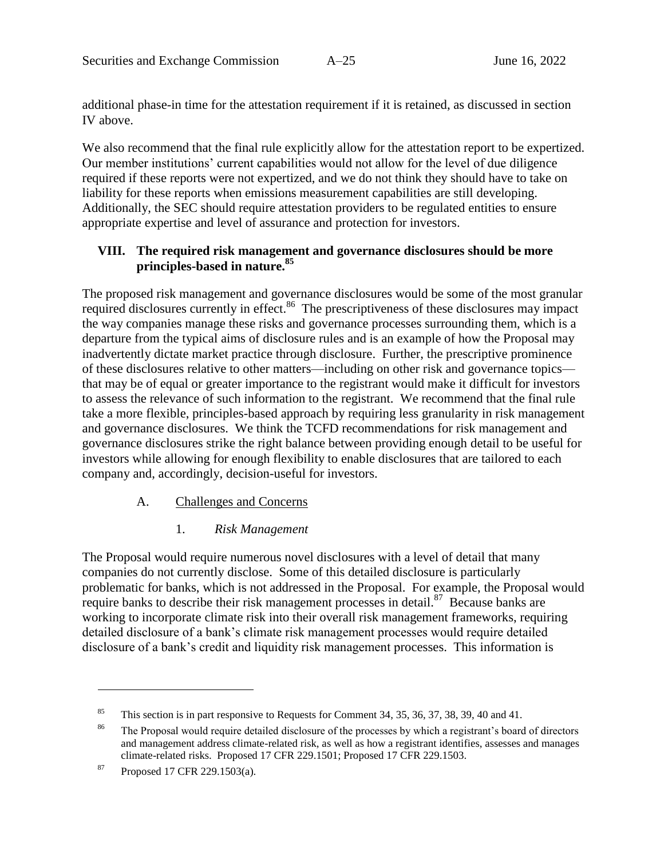additional phase-in time for the attestation requirement if it is retained, as discussed in section [IV](#page-23-0) above.

We also recommend that the final rule explicitly allow for the attestation report to be expertized. Our member institutions' current capabilities would not allow for the level of due diligence required if these reports were not expertized, and we do not think they should have to take on liability for these reports when emissions measurement capabilities are still developing. Additionally, the SEC should require attestation providers to be regulated entities to ensure appropriate expertise and level of assurance and protection for investors.

### **VIII. The required risk management and governance disclosures should be more principles-based in nature.<sup>85</sup>**

The proposed risk management and governance disclosures would be some of the most granular required disclosures currently in effect.<sup>86</sup> The prescriptiveness of these disclosures may impact the way companies manage these risks and governance processes surrounding them, which is a departure from the typical aims of disclosure rules and is an example of how the Proposal may inadvertently dictate market practice through disclosure. Further, the prescriptive prominence of these disclosures relative to other matters—including on other risk and governance topics that may be of equal or greater importance to the registrant would make it difficult for investors to assess the relevance of such information to the registrant. We recommend that the final rule take a more flexible, principles-based approach by requiring less granularity in risk management and governance disclosures. We think the TCFD recommendations for risk management and governance disclosures strike the right balance between providing enough detail to be useful for investors while allowing for enough flexibility to enable disclosures that are tailored to each company and, accordingly, decision-useful for investors.

### A. Challenges and Concerns

### 1. *Risk Management*

The Proposal would require numerous novel disclosures with a level of detail that many companies do not currently disclose. Some of this detailed disclosure is particularly problematic for banks, which is not addressed in the Proposal. For example, the Proposal would require banks to describe their risk management processes in detail.<sup>87</sup> Because banks are working to incorporate climate risk into their overall risk management frameworks, requiring detailed disclosure of a bank's climate risk management processes would require detailed disclosure of a bank's credit and liquidity risk management processes. This information is

<sup>&</sup>lt;sup>85</sup> This section is in part responsive to Requests for Comment 34, 35, 36, 37, 38, 39, 40 and 41.

<sup>&</sup>lt;sup>86</sup> The Proposal would require detailed disclosure of the processes by which a registrant's board of directors and management address climate-related risk, as well as how a registrant identifies, assesses and manages climate-related risks. Proposed 17 CFR 229.1501; Proposed 17 CFR 229.1503.

 $87$  Proposed 17 CFR 229.1503(a).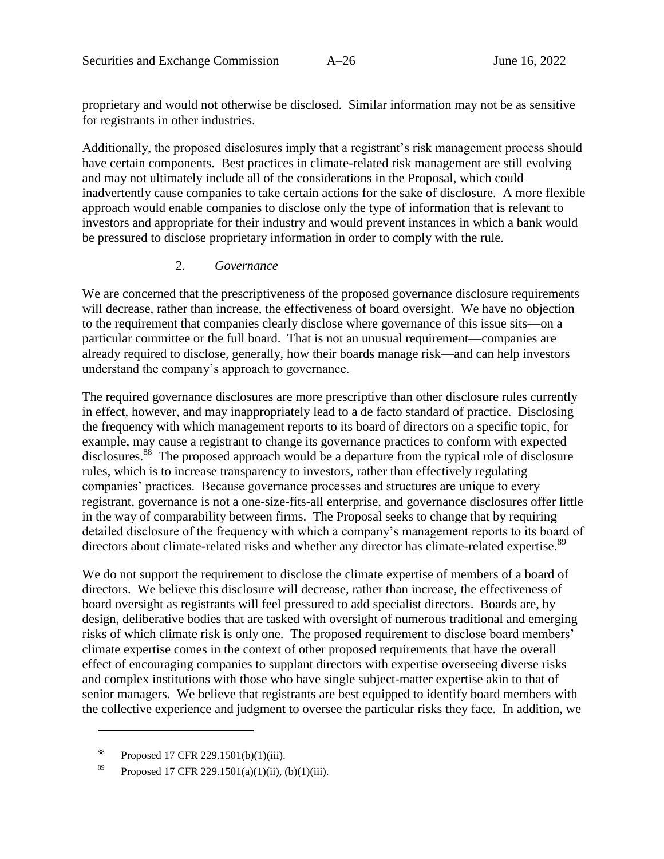proprietary and would not otherwise be disclosed. Similar information may not be as sensitive for registrants in other industries.

Additionally, the proposed disclosures imply that a registrant's risk management process should have certain components. Best practices in climate-related risk management are still evolving and may not ultimately include all of the considerations in the Proposal, which could inadvertently cause companies to take certain actions for the sake of disclosure. A more flexible approach would enable companies to disclose only the type of information that is relevant to investors and appropriate for their industry and would prevent instances in which a bank would be pressured to disclose proprietary information in order to comply with the rule.

#### 2. *Governance*

<span id="page-34-0"></span>We are concerned that the prescriptiveness of the proposed governance disclosure requirements will decrease, rather than increase, the effectiveness of board oversight. We have no objection to the requirement that companies clearly disclose where governance of this issue sits—on a particular committee or the full board. That is not an unusual requirement—companies are already required to disclose, generally, how their boards manage risk—and can help investors understand the company's approach to governance.

The required governance disclosures are more prescriptive than other disclosure rules currently in effect, however, and may inappropriately lead to a de facto standard of practice. Disclosing the frequency with which management reports to its board of directors on a specific topic, for example, may cause a registrant to change its governance practices to conform with expected disclosures.<sup>88</sup> The proposed approach would be a departure from the typical role of disclosure rules, which is to increase transparency to investors, rather than effectively regulating companies' practices. Because governance processes and structures are unique to every registrant, governance is not a one-size-fits-all enterprise, and governance disclosures offer little in the way of comparability between firms. The Proposal seeks to change that by requiring detailed disclosure of the frequency with which a company's management reports to its board of directors about climate-related risks and whether any director has climate-related expertise.<sup>89</sup>

We do not support the requirement to disclose the climate expertise of members of a board of directors. We believe this disclosure will decrease, rather than increase, the effectiveness of board oversight as registrants will feel pressured to add specialist directors. Boards are, by design, deliberative bodies that are tasked with oversight of numerous traditional and emerging risks of which climate risk is only one. The proposed requirement to disclose board members' climate expertise comes in the context of other proposed requirements that have the overall effect of encouraging companies to supplant directors with expertise overseeing diverse risks and complex institutions with those who have single subject-matter expertise akin to that of senior managers. We believe that registrants are best equipped to identify board members with the collective experience and judgment to oversee the particular risks they face. In addition, we

<sup>88</sup> Proposed 17 CFR 229.1501(b)(1)(iii).

<sup>89</sup> Proposed 17 CFR 229.1501(a)(1)(ii), (b)(1)(iii).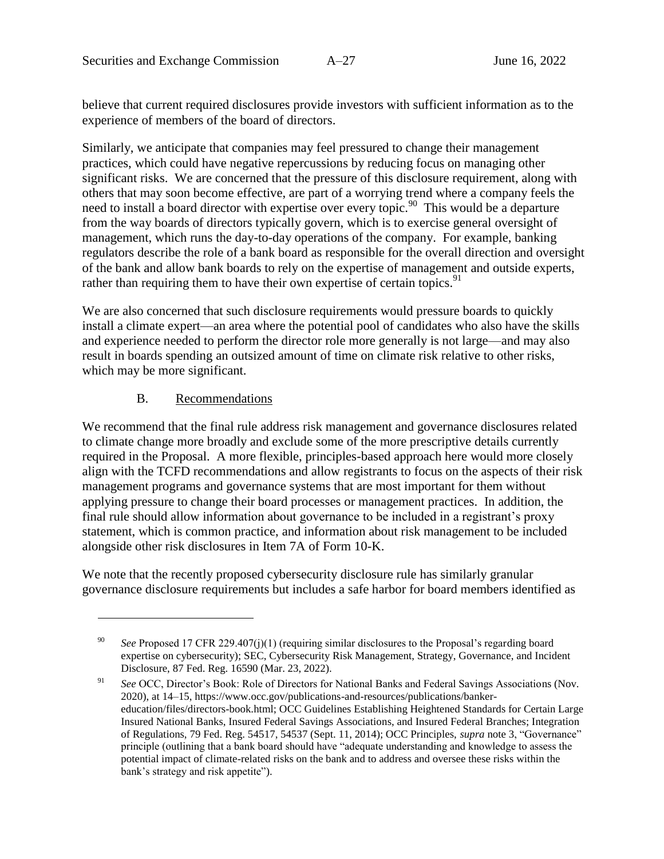believe that current required disclosures provide investors with sufficient information as to the experience of members of the board of directors.

Similarly, we anticipate that companies may feel pressured to change their management practices, which could have negative repercussions by reducing focus on managing other significant risks. We are concerned that the pressure of this disclosure requirement, along with others that may soon become effective, are part of a worrying trend where a company feels the need to install a board director with expertise over every topic.<sup>90</sup> This would be a departure from the way boards of directors typically govern, which is to exercise general oversight of management, which runs the day-to-day operations of the company. For example, banking regulators describe the role of a bank board as responsible for the overall direction and oversight of the bank and allow bank boards to rely on the expertise of management and outside experts, rather than requiring them to have their own expertise of certain topics.<sup>91</sup>

We are also concerned that such disclosure requirements would pressure boards to quickly install a climate expert—an area where the potential pool of candidates who also have the skills and experience needed to perform the director role more generally is not large—and may also result in boards spending an outsized amount of time on climate risk relative to other risks, which may be more significant.

#### B. Recommendations

 $\overline{a}$ 

We recommend that the final rule address risk management and governance disclosures related to climate change more broadly and exclude some of the more prescriptive details currently required in the Proposal. A more flexible, principles-based approach here would more closely align with the TCFD recommendations and allow registrants to focus on the aspects of their risk management programs and governance systems that are most important for them without applying pressure to change their board processes or management practices. In addition, the final rule should allow information about governance to be included in a registrant's proxy statement, which is common practice, and information about risk management to be included alongside other risk disclosures in Item 7A of Form 10-K.

We note that the recently proposed cybersecurity disclosure rule has similarly granular governance disclosure requirements but includes a safe harbor for board members identified as

<sup>90</sup> *See* Proposed 17 CFR 229.407(j)(1) (requiring similar disclosures to the Proposal's regarding board expertise on cybersecurity); SEC, Cybersecurity Risk Management, Strategy, Governance, and Incident Disclosure, 87 Fed. Reg. 16590 (Mar. 23, 2022).

<sup>91</sup> *See* OCC, Director's Book: Role of Directors for National Banks and Federal Savings Associations (Nov. 2020), at 14–15, https://www.occ.gov/publications-and-resources/publications/bankereducation/files/directors-book.html; OCC Guidelines Establishing Heightened Standards for Certain Large Insured National Banks, Insured Federal Savings Associations, and Insured Federal Branches; Integration of Regulations, 79 Fed. Reg. 54517, 54537 (Sept. 11, 2014); OCC Principles, *supra* note [3,](#page-3-0) "Governance" principle (outlining that a bank board should have "adequate understanding and knowledge to assess the potential impact of climate-related risks on the bank and to address and oversee these risks within the bank's strategy and risk appetite").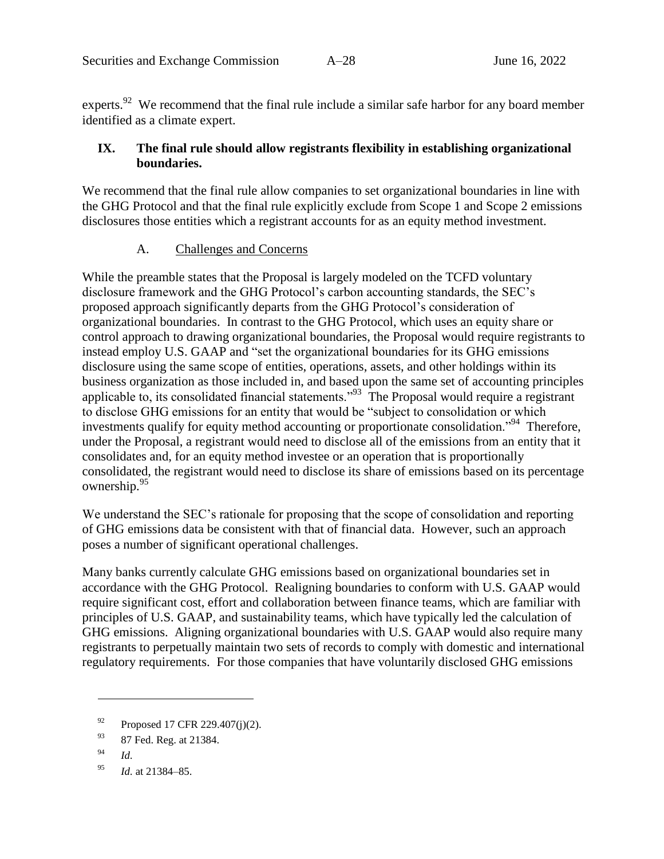experts.<sup>92</sup> We recommend that the final rule include a similar safe harbor for any board member identified as a climate expert.

### **IX. The final rule should allow registrants flexibility in establishing organizational boundaries.**

We recommend that the final rule allow companies to set organizational boundaries in line with the GHG Protocol and that the final rule explicitly exclude from Scope 1 and Scope 2 emissions disclosures those entities which a registrant accounts for as an equity method investment.

### A. Challenges and Concerns

While the preamble states that the Proposal is largely modeled on the TCFD voluntary disclosure framework and the GHG Protocol's carbon accounting standards, the SEC's proposed approach significantly departs from the GHG Protocol's consideration of organizational boundaries. In contrast to the GHG Protocol, which uses an equity share or control approach to drawing organizational boundaries, the Proposal would require registrants to instead employ U.S. GAAP and "set the organizational boundaries for its GHG emissions disclosure using the same scope of entities, operations, assets, and other holdings within its business organization as those included in, and based upon the same set of accounting principles applicable to, its consolidated financial statements."<sup>93</sup> The Proposal would require a registrant to disclose GHG emissions for an entity that would be "subject to consolidation or which investments qualify for equity method accounting or proportionate consolidation."<sup>94</sup> Therefore, under the Proposal, a registrant would need to disclose all of the emissions from an entity that it consolidates and, for an equity method investee or an operation that is proportionally consolidated, the registrant would need to disclose its share of emissions based on its percentage ownership. 95

We understand the SEC's rationale for proposing that the scope of consolidation and reporting of GHG emissions data be consistent with that of financial data. However, such an approach poses a number of significant operational challenges.

Many banks currently calculate GHG emissions based on organizational boundaries set in accordance with the GHG Protocol. Realigning boundaries to conform with U.S. GAAP would require significant cost, effort and collaboration between finance teams, which are familiar with principles of U.S. GAAP, and sustainability teams, which have typically led the calculation of GHG emissions. Aligning organizational boundaries with U.S. GAAP would also require many registrants to perpetually maintain two sets of records to comply with domestic and international regulatory requirements. For those companies that have voluntarily disclosed GHG emissions

 $^{92}$  Proposed 17 CFR 229.407(j)(2).

<sup>93 87</sup> Fed. Reg. at 21384.

<sup>94</sup> *Id.*

<sup>95</sup> *Id.* at 21384–85.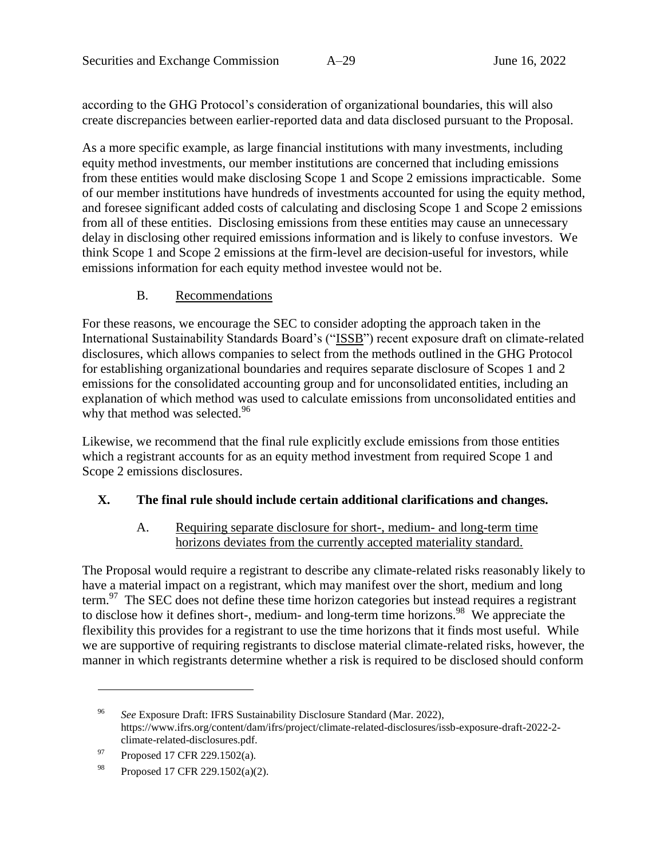according to the GHG Protocol's consideration of organizational boundaries, this will also create discrepancies between earlier-reported data and data disclosed pursuant to the Proposal.

As a more specific example, as large financial institutions with many investments, including equity method investments, our member institutions are concerned that including emissions from these entities would make disclosing Scope 1 and Scope 2 emissions impracticable. Some of our member institutions have hundreds of investments accounted for using the equity method, and foresee significant added costs of calculating and disclosing Scope 1 and Scope 2 emissions from all of these entities. Disclosing emissions from these entities may cause an unnecessary delay in disclosing other required emissions information and is likely to confuse investors. We think Scope 1 and Scope 2 emissions at the firm-level are decision-useful for investors, while emissions information for each equity method investee would not be.

### B. Recommendations

For these reasons, we encourage the SEC to consider adopting the approach taken in the International Sustainability Standards Board's ("ISSB") recent exposure draft on climate-related disclosures, which allows companies to select from the methods outlined in the GHG Protocol for establishing organizational boundaries and requires separate disclosure of Scopes 1 and 2 emissions for the consolidated accounting group and for unconsolidated entities, including an explanation of which method was used to calculate emissions from unconsolidated entities and why that method was selected.<sup>96</sup>

Likewise, we recommend that the final rule explicitly exclude emissions from those entities which a registrant accounts for as an equity method investment from required Scope 1 and Scope 2 emissions disclosures.

### **X. The final rule should include certain additional clarifications and changes.**

#### A. Requiring separate disclosure for short-, medium- and long-term time horizons deviates from the currently accepted materiality standard.

The Proposal would require a registrant to describe any climate-related risks reasonably likely to have a material impact on a registrant, which may manifest over the short, medium and long term.<sup>97</sup> The SEC does not define these time horizon categories but instead requires a registrant to disclose how it defines short-, medium- and long-term time horizons.<sup>98</sup> We appreciate the flexibility this provides for a registrant to use the time horizons that it finds most useful. While we are supportive of requiring registrants to disclose material climate-related risks, however, the manner in which registrants determine whether a risk is required to be disclosed should conform

<sup>96</sup> *See* Exposure Draft: IFRS Sustainability Disclosure Standard (Mar. 2022), https://www.ifrs.org/content/dam/ifrs/project/climate-related-disclosures/issb-exposure-draft-2022-2 climate-related-disclosures.pdf.

<sup>97</sup> Proposed 17 CFR 229.1502(a).

<sup>&</sup>lt;sup>98</sup> Proposed 17 CFR 229.1502(a)(2).